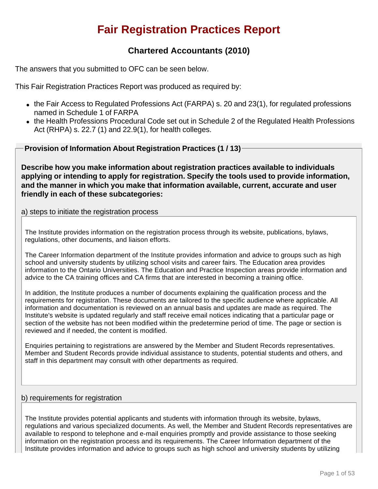# **Fair Registration Practices Report**

# **Chartered Accountants (2010)**

The answers that you submitted to OFC can be seen below.

This Fair Registration Practices Report was produced as required by:

- $\bullet$  the Fair Access to Regulated Professions Act (FARPA) s. 20 and 23(1), for regulated professions named in Schedule 1 of FARPA
- the Health Professions Procedural Code set out in Schedule 2 of the Regulated Health Professions Act (RHPA) s. 22.7 (1) and 22.9(1), for health colleges.

**Provision of Information About Registration Practices (1 / 13)**

**Describe how you make information about registration practices available to individuals applying or intending to apply for registration. Specify the tools used to provide information, and the manner in which you make that information available, current, accurate and user friendly in each of these subcategories:**

## a) steps to initiate the registration process

The Institute provides information on the registration process through its website, publications, bylaws, regulations, other documents, and liaison efforts.

The Career Information department of the Institute provides information and advice to groups such as high school and university students by utilizing school visits and career fairs. The Education area provides information to the Ontario Universities. The Education and Practice Inspection areas provide information and advice to the CA training offices and CA firms that are interested in becoming a training office.

In addition, the Institute produces a number of documents explaining the qualification process and the requirements for registration. These documents are tailored to the specific audience where applicable. All information and documentation is reviewed on an annual basis and updates are made as required. The Institute's website is updated regularly and staff receive email notices indicating that a particular page or section of the website has not been modified within the predetermine period of time. The page or section is reviewed and if needed, the content is modified.

Enquiries pertaining to registrations are answered by the Member and Student Records representatives. Member and Student Records provide individual assistance to students, potential students and others, and staff in this department may consult with other departments as required.

# b) requirements for registration

The Institute provides potential applicants and students with information through its website, bylaws, regulations and various specialized documents. As well, the Member and Student Records representatives are available to respond to telephone and e-mail enquiries promptly and provide assistance to those seeking information on the registration process and its requirements. The Career Information department of the Institute provides information and advice to groups such as high school and university students by utilizing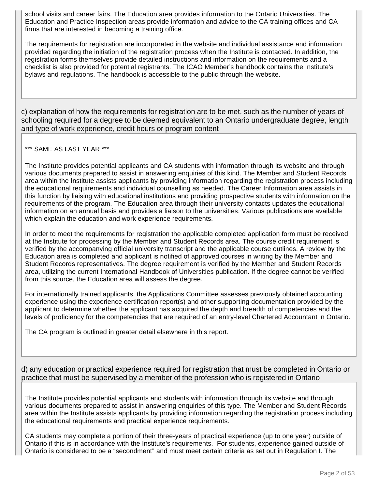school visits and career fairs. The Education area provides information to the Ontario Universities. The Education and Practice Inspection areas provide information and advice to the CA training offices and CA firms that are interested in becoming a training office.

The requirements for registration are incorporated in the website and individual assistance and information provided regarding the initiation of the registration process when the Institute is contacted. In addition, the registration forms themselves provide detailed instructions and information on the requirements and a checklist is also provided for potential registrants. The ICAO Member's handbook contains the Institute's bylaws and regulations. The handbook is accessible to the public through the website.

c) explanation of how the requirements for registration are to be met, such as the number of years of schooling required for a degree to be deemed equivalent to an Ontario undergraduate degree, length and type of work experience, credit hours or program content

## \*\*\* SAME AS LAST YEAR \*\*\*

The Institute provides potential applicants and CA students with information through its website and through various documents prepared to assist in answering enquiries of this kind. The Member and Student Records area within the Institute assists applicants by providing information regarding the registration process including the educational requirements and individual counselling as needed. The Career Information area assists in this function by liaising with educational institutions and providing prospective students with information on the requirements of the program. The Education area through their university contacts updates the educational information on an annual basis and provides a liaison to the universities. Various publications are available which explain the education and work experience requirements.

In order to meet the requirements for registration the applicable completed application form must be received at the Institute for processing by the Member and Student Records area. The course credit requirement is verified by the accompanying official university transcript and the applicable course outlines. A review by the Education area is completed and applicant is notified of approved courses in writing by the Member and Student Records representatives. The degree requirement is verified by the Member and Student Records area, utilizing the current International Handbook of Universities publication. If the degree cannot be verified from this source, the Education area will assess the degree.

For internationally trained applicants, the Applications Committee assesses previously obtained accounting experience using the experience certification report(s) and other supporting documentation provided by the applicant to determine whether the applicant has acquired the depth and breadth of competencies and the levels of proficiency for the competencies that are required of an entry-level Chartered Accountant in Ontario.

The CA program is outlined in greater detail elsewhere in this report.

d) any education or practical experience required for registration that must be completed in Ontario or practice that must be supervised by a member of the profession who is registered in Ontario

The Institute provides potential applicants and students with information through its website and through various documents prepared to assist in answering enquiries of this type. The Member and Student Records area within the Institute assists applicants by providing information regarding the registration process including the educational requirements and practical experience requirements.

CA students may complete a portion of their three-years of practical experience (up to one year) outside of Ontario if this is in accordance with the Institute's requirements. For students, experience gained outside of Ontario is considered to be a "secondment" and must meet certain criteria as set out in Regulation I. The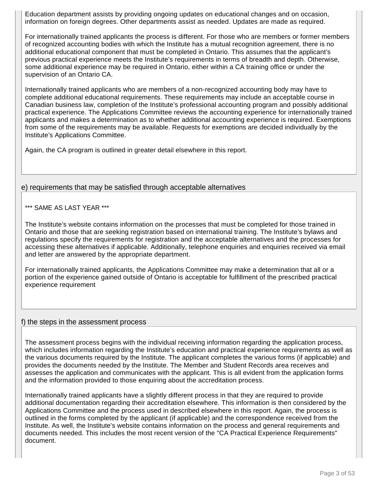Education department assists by providing ongoing updates on educational changes and on occasion, information on foreign degrees. Other departments assist as needed. Updates are made as required.

For internationally trained applicants the process is different. For those who are members or former members of recognized accounting bodies with which the Institute has a mutual recognition agreement, there is no additional educational component that must be completed in Ontario. This assumes that the applicant's previous practical experience meets the Institute's requirements in terms of breadth and depth. Otherwise, some additional experience may be required in Ontario, either within a CA training office or under the supervision of an Ontario CA.

Internationally trained applicants who are members of a non-recognized accounting body may have to complete additional educational requirements. These requirements may include an acceptable course in Canadian business law, completion of the Institute's professional accounting program and possibly additional practical experience. The Applications Committee reviews the accounting experience for internationally trained applicants and makes a determination as to whether additional accounting experience is required. Exemptions from some of the requirements may be available. Requests for exemptions are decided individually by the Institute's Applications Committee.

Again, the CA program is outlined in greater detail elsewhere in this report.

## e) requirements that may be satisfied through acceptable alternatives

#### \*\*\* SAME AS LAST YEAR \*\*\*

The Institute's website contains information on the processes that must be completed for those trained in Ontario and those that are seeking registration based on international training. The Institute's bylaws and regulations specify the requirements for registration and the acceptable alternatives and the processes for accessing these alternatives if applicable. Additionally, telephone enquiries and enquiries received via email and letter are answered by the appropriate department.

For internationally trained applicants, the Applications Committee may make a determination that all or a portion of the experience gained outside of Ontario is acceptable for fulfillment of the prescribed practical experience requirement

#### f) the steps in the assessment process

The assessment process begins with the individual receiving information regarding the application process, which includes information regarding the Institute's education and practical experience requirements as well as the various documents required by the Institute. The applicant completes the various forms (if applicable) and provides the documents needed by the Institute. The Member and Student Records area receives and assesses the application and communicates with the applicant. This is all evident from the application forms and the information provided to those enquiring about the accreditation process.

Internationally trained applicants have a slightly different process in that they are required to provide additional documentation regarding their accreditation elsewhere. This information is then considered by the Applications Committee and the process used in described elsewhere in this report. Again, the process is outlined in the forms completed by the applicant (if applicable) and the correspondence received from the Institute. As well, the Institute's website contains information on the process and general requirements and documents needed. This includes the most recent version of the "CA Practical Experience Requirements" document.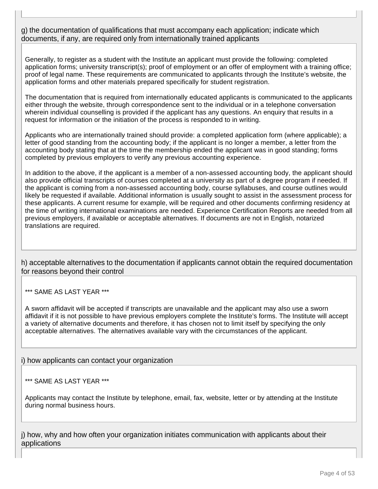g) the documentation of qualifications that must accompany each application; indicate which documents, if any, are required only from internationally trained applicants

Generally, to register as a student with the Institute an applicant must provide the following: completed application forms; university transcript(s); proof of employment or an offer of employment with a training office; proof of legal name. These requirements are communicated to applicants through the Institute's website, the application forms and other materials prepared specifically for student registration.

The documentation that is required from internationally educated applicants is communicated to the applicants either through the website, through correspondence sent to the individual or in a telephone conversation wherein individual counselling is provided if the applicant has any questions. An enquiry that results in a request for information or the initiation of the process is responded to in writing.

Applicants who are internationally trained should provide: a completed application form (where applicable); a letter of good standing from the accounting body; if the applicant is no longer a member, a letter from the accounting body stating that at the time the membership ended the applicant was in good standing; forms completed by previous employers to verify any previous accounting experience.

In addition to the above, if the applicant is a member of a non-assessed accounting body, the applicant should also provide official transcripts of courses completed at a university as part of a degree program if needed. If the applicant is coming from a non-assessed accounting body, course syllabuses, and course outlines would likely be requested if available. Additional information is usually sought to assist in the assessment process for these applicants. A current resume for example, will be required and other documents confirming residency at the time of writing international examinations are needed. Experience Certification Reports are needed from all previous employers, if available or acceptable alternatives. If documents are not in English, notarized translations are required.

h) acceptable alternatives to the documentation if applicants cannot obtain the required documentation for reasons beyond their control

\*\*\* SAME AS LAST YEAR \*\*\*

A sworn affidavit will be accepted if transcripts are unavailable and the applicant may also use a sworn affidavit if it is not possible to have previous employers complete the Institute's forms. The Institute will accept a variety of alternative documents and therefore, it has chosen not to limit itself by specifying the only acceptable alternatives. The alternatives available vary with the circumstances of the applicant.

i) how applicants can contact your organization

## \*\*\* SAME AS LAST YEAR \*\*\*

Applicants may contact the Institute by telephone, email, fax, website, letter or by attending at the Institute during normal business hours.

j) how, why and how often your organization initiates communication with applicants about their applications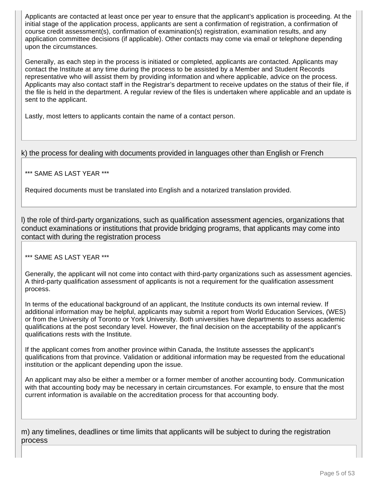Applicants are contacted at least once per year to ensure that the applicant's application is proceeding. At the initial stage of the application process, applicants are sent a confirmation of registration, a confirmation of course credit assessment(s), confirmation of examination(s) registration, examination results, and any application committee decisions (if applicable). Other contacts may come via email or telephone depending upon the circumstances.

Generally, as each step in the process is initiated or completed, applicants are contacted. Applicants may contact the Institute at any time during the process to be assisted by a Member and Student Records representative who will assist them by providing information and where applicable, advice on the process. Applicants may also contact staff in the Registrar's department to receive updates on the status of their file, if the file is held in the department. A regular review of the files is undertaken where applicable and an update is sent to the applicant.

Lastly, most letters to applicants contain the name of a contact person.

# k) the process for dealing with documents provided in languages other than English or French

\*\*\* SAME AS LAST YEAR \*\*\*

Required documents must be translated into English and a notarized translation provided.

l) the role of third-party organizations, such as qualification assessment agencies, organizations that conduct examinations or institutions that provide bridging programs, that applicants may come into contact with during the registration process

\*\*\* SAME AS LAST YEAR \*\*\*

Generally, the applicant will not come into contact with third-party organizations such as assessment agencies. A third-party qualification assessment of applicants is not a requirement for the qualification assessment process.

In terms of the educational background of an applicant, the Institute conducts its own internal review. If additional information may be helpful, applicants may submit a report from World Education Services, (WES) or from the University of Toronto or York University. Both universities have departments to assess academic qualifications at the post secondary level. However, the final decision on the acceptability of the applicant's qualifications rests with the Institute.

If the applicant comes from another province within Canada, the Institute assesses the applicant's qualifications from that province. Validation or additional information may be requested from the educational institution or the applicant depending upon the issue.

An applicant may also be either a member or a former member of another accounting body. Communication with that accounting body may be necessary in certain circumstances. For example, to ensure that the most current information is available on the accreditation process for that accounting body.

m) any timelines, deadlines or time limits that applicants will be subject to during the registration process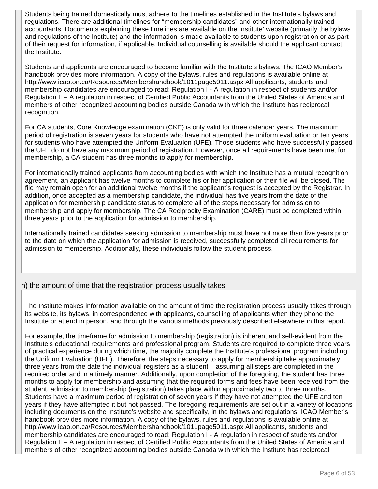Students being trained domestically must adhere to the timelines established in the Institute's bylaws and regulations. There are additional timelines for "membership candidates" and other internationally trained accountants. Documents explaining these timelines are available on the Institute' website (primarily the bylaws and regulations of the Institute) and the information is made available to students upon registration or as part of their request for information, if applicable. Individual counselling is available should the applicant contact the Institute.

Students and applicants are encouraged to become familiar with the Institute's bylaws. The ICAO Member's handbook provides more information. A copy of the bylaws, rules and regulations is available online at http://www.icao.on.ca/Resources/Membershandbook/1011page5011.aspx All applicants, students and membership candidates are encouraged to read: Regulation I - A regulation in respect of students and/or Regulation II – A regulation in respect of Certified Public Accountants from the United States of America and members of other recognized accounting bodies outside Canada with which the Institute has reciprocal recognition.

For CA students, Core Knowledge examination (CKE) is only valid for three calendar years. The maximum period of registration is seven years for students who have not attempted the uniform evaluation or ten years for students who have attempted the Uniform Evaluation (UFE). Those students who have successfully passed the UFE do not have any maximum period of registration. However, once all requirements have been met for membership, a CA student has three months to apply for membership.

For internationally trained applicants from accounting bodies with which the Institute has a mutual recognition agreement, an applicant has twelve months to complete his or her application or their file will be closed. The file may remain open for an additional twelve months if the applicant's request is accepted by the Registrar. In addition, once accepted as a membership candidate, the individual has five years from the date of the application for membership candidate status to complete all of the steps necessary for admission to membership and apply for membership. The CA Reciprocity Examination (CARE) must be completed within three years prior to the application for admission to membership.

Internationally trained candidates seeking admission to membership must have not more than five years prior to the date on which the application for admission is received, successfully completed all requirements for admission to membership. Additionally, these individuals follow the student process.

# n) the amount of time that the registration process usually takes

The Institute makes information available on the amount of time the registration process usually takes through its website, its bylaws, in correspondence with applicants, counselling of applicants when they phone the Institute or attend in person, and through the various methods previously described elsewhere in this report.

For example, the timeframe for admission to membership (registration) is inherent and self-evident from the Institute's educational requirements and professional program. Students are required to complete three years of practical experience during which time, the majority complete the Institute's professional program including the Uniform Evaluation (UFE). Therefore, the steps necessary to apply for membership take approximately three years from the date the individual registers as a student – assuming all steps are completed in the required order and in a timely manner. Additionally, upon completion of the foregoing, the student has three months to apply for membership and assuming that the required forms and fees have been received from the student, admission to membership (registration) takes place within approximately two to three months. Students have a maximum period of registration of seven years if they have not attempted the UFE and ten years if they have attempted it but not passed. The foregoing requirements are set out in a variety of locations including documents on the Institute's website and specifically, in the bylaws and regulations. ICAO Member's handbook provides more information. A copy of the bylaws, rules and regulations is available online at http://www.icao.on.ca/Resources/Membershandbook/1011page5011.aspx All applicants, students and membership candidates are encouraged to read: Regulation I - A regulation in respect of students and/or Regulation II – A regulation in respect of Certified Public Accountants from the United States of America and members of other recognized accounting bodies outside Canada with which the Institute has reciprocal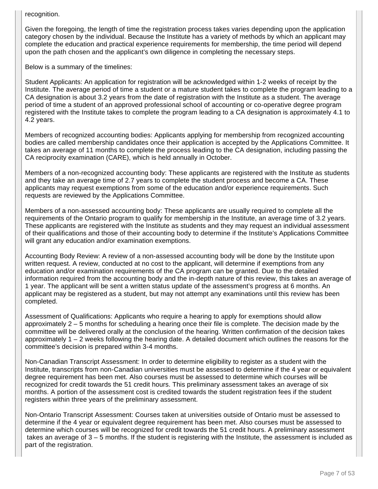recognition.

Given the foregoing, the length of time the registration process takes varies depending upon the application category chosen by the individual. Because the Institute has a variety of methods by which an applicant may complete the education and practical experience requirements for membership, the time period will depend upon the path chosen and the applicant's own diligence in completing the necessary steps.

Below is a summary of the timelines:

Student Applicants: An application for registration will be acknowledged within 1-2 weeks of receipt by the Institute. The average period of time a student or a mature student takes to complete the program leading to a CA designation is about 3.2 years from the date of registration with the Institute as a student. The average period of time a student of an approved professional school of accounting or co-operative degree program registered with the Institute takes to complete the program leading to a CA designation is approximately 4.1 to 4.2 years.

Members of recognized accounting bodies: Applicants applying for membership from recognized accounting bodies are called membership candidates once their application is accepted by the Applications Committee. It takes an average of 11 months to complete the process leading to the CA designation, including passing the CA reciprocity examination (CARE), which is held annually in October.

Members of a non-recognized accounting body: These applicants are registered with the Institute as students and they take an average time of 2.7 years to complete the student process and become a CA. These applicants may request exemptions from some of the education and/or experience requirements. Such requests are reviewed by the Applications Committee.

Members of a non-assessed accounting body: These applicants are usually required to complete all the requirements of the Ontario program to qualify for membership in the Institute, an average time of 3.2 years. These applicants are registered with the Institute as students and they may request an individual assessment of their qualifications and those of their accounting body to determine if the Institute's Applications Committee will grant any education and/or examination exemptions.

Accounting Body Review: A review of a non-assessed accounting body will be done by the Institute upon written request. A review, conducted at no cost to the applicant, will determine if exemptions from any education and/or examination requirements of the CA program can be granted. Due to the detailed information required from the accounting body and the in-depth nature of this review, this takes an average of 1 year. The applicant will be sent a written status update of the assessment's progress at 6 months. An applicant may be registered as a student, but may not attempt any examinations until this review has been completed.

Assessment of Qualifications: Applicants who require a hearing to apply for exemptions should allow approximately 2 – 5 months for scheduling a hearing once their file is complete. The decision made by the committee will be delivered orally at the conclusion of the hearing. Written confirmation of the decision takes approximately 1 – 2 weeks following the hearing date. A detailed document which outlines the reasons for the committee's decision is prepared within 3-4 months.

Non-Canadian Transcript Assessment: In order to determine eligibility to register as a student with the Institute, transcripts from non-Canadian universities must be assessed to determine if the 4 year or equivalent degree requirement has been met. Also courses must be assessed to determine which courses will be recognized for credit towards the 51 credit hours. This preliminary assessment takes an average of six months. A portion of the assessment cost is credited towards the student registration fees if the student registers within three years of the preliminary assessment.

Non-Ontario Transcript Assessment: Courses taken at universities outside of Ontario must be assessed to determine if the 4 year or equivalent degree requirement has been met. Also courses must be assessed to determine which courses will be recognized for credit towards the 51 credit hours. A preliminary assessment takes an average of 3 – 5 months. If the student is registering with the Institute, the assessment is included as part of the registration.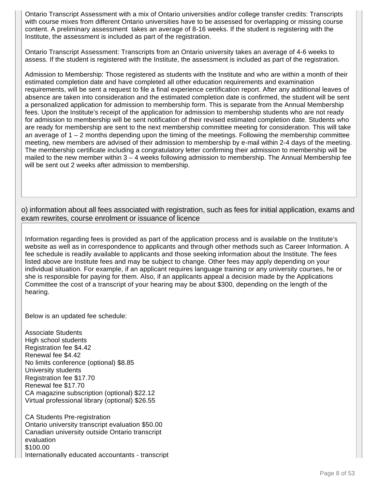Ontario Transcript Assessment with a mix of Ontario universities and/or college transfer credits: Transcripts with course mixes from different Ontario universities have to be assessed for overlapping or missing course content. A preliminary assessment takes an average of 8-16 weeks. If the student is registering with the Institute, the assessment is included as part of the registration.

Ontario Transcript Assessment: Transcripts from an Ontario university takes an average of 4-6 weeks to assess. If the student is registered with the Institute, the assessment is included as part of the registration.

Admission to Membership: Those registered as students with the Institute and who are within a month of their estimated completion date and have completed all other education requirements and examination requirements, will be sent a request to file a final experience certification report. After any additional leaves of absence are taken into consideration and the estimated completion date is confirmed, the student will be sent a personalized application for admission to membership form. This is separate from the Annual Membership fees. Upon the Institute's receipt of the application for admission to membership students who are not ready for admission to membership will be sent notification of their revised estimated completion date. Students who are ready for membership are sent to the next membership committee meeting for consideration. This will take an average of 1 – 2 months depending upon the timing of the meetings. Following the membership committee meeting, new members are advised of their admission to membership by e-mail within 2-4 days of the meeting. The membership certificate including a congratulatory letter confirming their admission to membership will be mailed to the new member within 3 – 4 weeks following admission to membership. The Annual Membership fee will be sent out 2 weeks after admission to membership.

o) information about all fees associated with registration, such as fees for initial application, exams and exam rewrites, course enrolment or issuance of licence

Information regarding fees is provided as part of the application process and is available on the Institute's website as well as in correspondence to applicants and through other methods such as Career Information. A fee schedule is readily available to applicants and those seeking information about the Institute. The fees listed above are Institute fees and may be subject to change. Other fees may apply depending on your individual situation. For example, if an applicant requires language training or any university courses, he or she is responsible for paying for them. Also, if an applicants appeal a decision made by the Applications Committee the cost of a transcript of your hearing may be about \$300, depending on the length of the hearing.

Below is an updated fee schedule:

Associate Students High school students Registration fee \$4.42 Renewal fee \$4.42 No limits conference (optional) \$8.85 University students Registration fee \$17.70 Renewal fee \$17.70 CA magazine subscription (optional) \$22.12 Virtual professional library (optional) \$26.55

CA Students Pre-registration Ontario university transcript evaluation \$50.00 Canadian university outside Ontario transcript evaluation \$100.00 Internationally educated accountants - transcript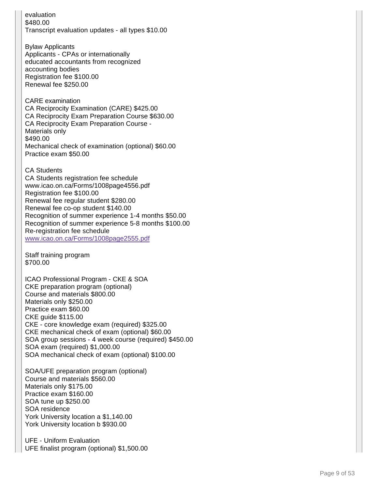evaluation \$480.00 Transcript evaluation updates - all types \$10.00

Bylaw Applicants Applicants - CPAs or internationally educated accountants from recognized accounting bodies Registration fee \$100.00 Renewal fee \$250.00

CARE examination CA Reciprocity Examination (CARE) \$425.00 CA Reciprocity Exam Preparation Course \$630.00 CA Reciprocity Exam Preparation Course - Materials only \$490.00 Mechanical check of examination (optional) \$60.00 Practice exam \$50.00

CA Students CA Students registration fee schedule www.icao.on.ca/Forms/1008page4556.pdf Registration fee \$100.00 Renewal fee regular student \$280.00 Renewal fee co -op student \$140.00 Recognition of summer experience 1 -4 months \$50.00 Recognition of summer experience 5 -8 months \$100.00 Re -registration fee schedule www.icao.on.ca/Forms/1008page2555.pdf

Staff training program \$700.00

ICAO Professional Program - CKE & SOA CKE preparation program (optional) Course and materials \$800.00 Materials only \$250.00 Practice exam \$60.00 CKE guide \$115.00 CKE - core knowledge exam (required) \$325.00 CKE mechanical check of exam (optional) \$60.00 SOA group sessions - 4 week course (required) \$450.00 SOA exam (required) \$1,000.00 SOA mechanical check of exam (optional) \$100.00

SOA/UFE preparation program (optional) Course and materials \$560.00 Materials only \$175.00 Practice exam \$160.00 SOA tune up \$250.00 SOA residence York University location a \$1,140.00 York University location b \$930.00

UFE - Uniform Evaluation UFE finalist program (optional) \$1,500.00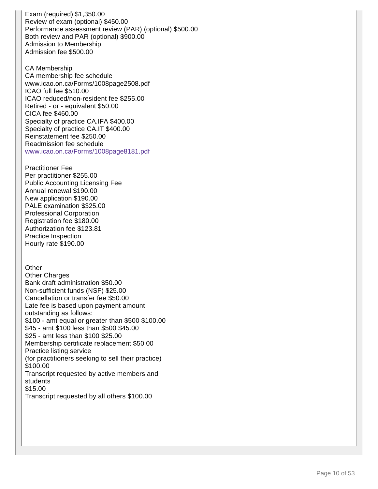Exam (required) \$1,350.00 Review of exam (optional) \$450.00 Performance assessment review (PAR) (optional) \$500.00 Both review and PAR (optional) \$900.00 Admission to Membership Admission fee \$500.00

CA Membership CA membership fee schedule www.icao.on.ca/Forms/1008page2508.pdf ICAO full fee \$510.00 ICAO reduced/non-resident fee \$255.00 Retired - or - equivalent \$50.00 CICA fee \$460.00 Specialty of practice CA.IFA \$400.00 Specialty of practice CA.IT \$400.00 Reinstatement fee \$250.00 Readmission fee schedule www.icao.on.ca/Forms/1008page8181.pdf

Practitioner Fee Per practitioner \$255.00 Public Accounting Licensing Fee Annual renewal \$190.00 New application \$190.00 PALE examination \$325.00 Professional Corporation Registration fee \$180.00 Authorization fee \$123.81 Practice Inspection Hourly rate \$190.00

## **Other**

Other Charges Bank draft administration \$50.00 Non-sufficient funds (NSF) \$25.00 Cancellation or transfer fee \$50.00 Late fee is based upon payment amount outstanding as follows: \$100 - amt equal or greater than \$500 \$100.00 \$45 - amt \$100 less than \$500 \$45.00 \$25 - amt less than \$100 \$25.00 Membership certificate replacement \$50.00 Practice listing service (for practitioners seeking to sell their practice) \$100.00 Transcript requested by active members and students \$15.00 Transcript requested by all others \$100.00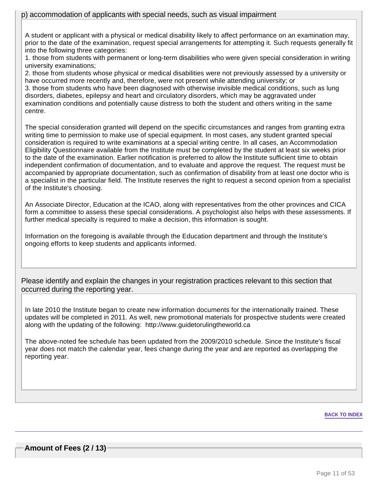A student or applicant with a physical or medical disability likely to affect performance on an examination may, prior to the date of the examination, request special arrangements for attempting it. Such requests generally fit into the following three categories:

1. those from students with permanent or long-term disabilities who were given special consideration in writing university examinations;

2. those from students whose physical or medical disabilities were not previously assessed by a university or have occurred more recently and, therefore, were not present while attending university; or

3. those from students who have been diagnosed with otherwise invisible medical conditions, such as lung disorders, diabetes, epilepsy and heart and circulatory disorders, which may be aggravated under examination conditions and potentially cause distress to both the student and others writing in the same centre.

The special consideration granted will depend on the specific circumstances and ranges from granting extra writing time to permission to make use of special equipment. In most cases, any student granted special consideration is required to write examinations at a special writing centre. In all cases, an Accommodation Eligibility Questionnaire available from the Institute must be completed by the student at least six weeks prior to the date of the examination. Earlier notification is preferred to allow the Institute sufficient time to obtain independent confirmation of documentation, and to evaluate and approve the request. The request must be accompanied by appropriate documentation, such as confirmation of disability from at least one doctor who is a specialist in the particular field. The Institute reserves the right to request a second opinion from a specialist of the Institute's choosing.

An Associate Director, Education at the ICAO, along with representatives from the other provinces and CICA form a committee to assess these special considerations. A psychologist also helps with these assessments. If further medical specialty is required to make a decision, this information is sought.

Information on the foregoing is available through the Education department and through the Institute's ongoing efforts to keep students and applicants informed.

Please identify and explain the changes in your registration practices relevant to this section that occurred during the reporting year.

In late 2010 the Institute began to create new information documents for the internationally trained. These updates will be completed in 2011. As well, new promotional materials for prospective students were created along with the updating of the following: http://www.guidetorulingtheworld.ca

The above-noted fee schedule has been updated from the 2009/2010 schedule. Since the Institute's fiscal year does not match the calendar year, fees change during the year and are reported as overlapping the reporting year.

#### **BACK TO INDEX**

**Amount of Fees (2 / 13)**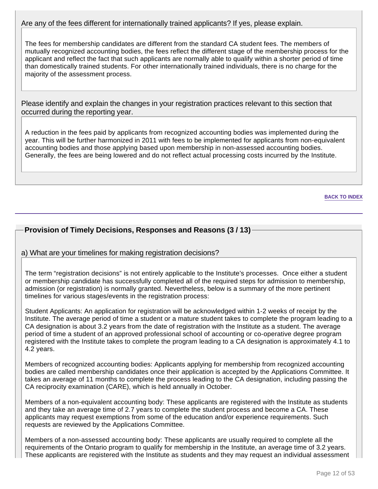# Are any of the fees different for internationally trained applicants? If yes, please explain.

The fees for membership candidates are different from the standard CA student fees. The members of mutually recognized accounting bodies, the fees reflect the different stage of the membership process for the applicant and reflect the fact that such applicants are normally able to qualify within a shorter period of time than domestically trained students. For other internationally trained individuals, there is no charge for the majority of the assessment process.

Please identify and explain the changes in your registration practices relevant to this section that occurred during the reporting year.

A reduction in the fees paid by applicants from recognized accounting bodies was implemented during the year. This will be further harmonized in 2011 with fees to be implemented for applicants from non-equivalent accounting bodies and those applying based upon membership in non-assessed accounting bodies. Generally, the fees are being lowered and do not reflect actual processing costs incurred by the Institute.

**BACK TO INDEX**

# **Provision of Timely Decisions, Responses and Reasons (3 / 13)**

## a) What are your timelines for making registration decisions?

The term "registration decisions" is not entirely applicable to the Institute's processes. Once either a student or membership candidate has successfully completed all of the required steps for admission to membership, admission (or registration) is normally granted. Nevertheless, below is a summary of the more pertinent timelines for various stages/events in the registration process:

Student Applicants: An application for registration will be acknowledged within 1-2 weeks of receipt by the Institute. The average period of time a student or a mature student takes to complete the program leading to a CA designation is about 3.2 years from the date of registration with the Institute as a student. The average period of time a student of an approved professional school of accounting or co-operative degree program registered with the Institute takes to complete the program leading to a CA designation is approximately 4.1 to 4.2 years.

Members of recognized accounting bodies: Applicants applying for membership from recognized accounting bodies are called membership candidates once their application is accepted by the Applications Committee. It takes an average of 11 months to complete the process leading to the CA designation, including passing the CA reciprocity examination (CARE), which is held annually in October.

Members of a non-equivalent accounting body: These applicants are registered with the Institute as students and they take an average time of 2.7 years to complete the student process and become a CA. These applicants may request exemptions from some of the education and/or experience requirements. Such requests are reviewed by the Applications Committee.

Members of a non-assessed accounting body: These applicants are usually required to complete all the requirements of the Ontario program to qualify for membership in the Institute, an average time of 3.2 years. These applicants are registered with the Institute as students and they may request an individual assessment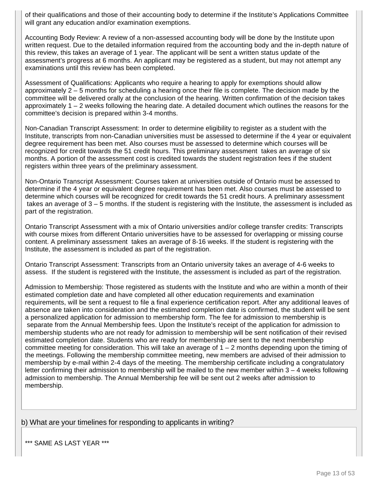of their qualifications and those of their accounting body to determine if the Institute's Applications Committee will grant any education and/or examination exemptions.

Accounting Body Review: A review of a non-assessed accounting body will be done by the Institute upon written request. Due to the detailed information required from the accounting body and the in-depth nature of this review, this takes an average of 1 year. The applicant will be sent a written status update of the assessment's progress at 6 months. An applicant may be registered as a student, but may not attempt any examinations until this review has been completed.

Assessment of Qualifications: Applicants who require a hearing to apply for exemptions should allow approximately 2 – 5 months for scheduling a hearing once their file is complete. The decision made by the committee will be delivered orally at the conclusion of the hearing. Written confirmation of the decision takes approximately 1 – 2 weeks following the hearing date. A detailed document which outlines the reasons for the committee's decision is prepared within 3-4 months.

Non-Canadian Transcript Assessment: In order to determine eligibility to register as a student with the Institute, transcripts from non-Canadian universities must be assessed to determine if the 4 year or equivalent degree requirement has been met. Also courses must be assessed to determine which courses will be recognized for credit towards the 51 credit hours. This preliminary assessment takes an average of six months. A portion of the assessment cost is credited towards the student registration fees if the student registers within three years of the preliminary assessment.

Non-Ontario Transcript Assessment: Courses taken at universities outside of Ontario must be assessed to determine if the 4 year or equivalent degree requirement has been met. Also courses must be assessed to determine which courses will be recognized for credit towards the 51 credit hours. A preliminary assessment takes an average of 3 – 5 months. If the student is registering with the Institute, the assessment is included as part of the registration.

Ontario Transcript Assessment with a mix of Ontario universities and/or college transfer credits: Transcripts with course mixes from different Ontario universities have to be assessed for overlapping or missing course content. A preliminary assessment takes an average of 8-16 weeks. If the student is registering with the Institute, the assessment is included as part of the registration.

Ontario Transcript Assessment: Transcripts from an Ontario university takes an average of 4-6 weeks to assess. If the student is registered with the Institute, the assessment is included as part of the registration.

Admission to Membership: Those registered as students with the Institute and who are within a month of their estimated completion date and have completed all other education requirements and examination requirements, will be sent a request to file a final experience certification report. After any additional leaves of absence are taken into consideration and the estimated completion date is confirmed, the student will be sent a personalized application for admission to membership form. The fee for admission to membership is separate from the Annual Membership fees. Upon the Institute's receipt of the application for admission to membership students who are not ready for admission to membership will be sent notification of their revised estimated completion date. Students who are ready for membership are sent to the next membership committee meeting for consideration. This will take an average of 1 – 2 months depending upon the timing of the meetings. Following the membership committee meeting, new members are advised of their admission to membership by e-mail within 2-4 days of the meeting. The membership certificate including a congratulatory letter confirming their admission to membership will be mailed to the new member within 3 – 4 weeks following admission to membership. The Annual Membership fee will be sent out 2 weeks after admission to membership.

b) What are your timelines for responding to applicants in writing?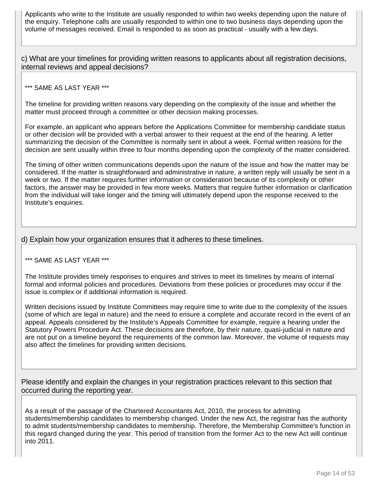Applicants who write to the Institute are usually responded to within two weeks depending upon the nature of the enquiry. Telephone calls are usually responded to within one to two business days depending upon the volume of messages received. Email is responded to as soon as practical - usually with a few days.

c) What are your timelines for providing written reasons to applicants about all registration decisions, internal reviews and appeal decisions?

## \*\*\* SAME AS LAST YEAR \*\*\*

The timeline for providing written reasons vary depending on the complexity of the issue and whether the matter must proceed through a committee or other decision making processes.

For example, an applicant who appears before the Applications Committee for membership candidate status or other decision will be provided with a verbal answer to their request at the end of the hearing. A letter summarizing the decision of the Committee is normally sent in about a week. Formal written reasons for the decision are sent usually within three to four months depending upon the complexity of the matter considered.

The timing of other written communications depends upon the nature of the issue and how the matter may be considered. If the matter is straightforward and administrative in nature, a written reply will usually be sent in a week or two. If the matter requires further information or consideration because of its complexity or other factors, the answer may be provided in few more weeks. Matters that require further information or clarification from the individual will take longer and the timing will ultimately depend upon the response received to the Institute's enquiries.

## d) Explain how your organization ensures that it adheres to these timelines.

## \*\*\* SAME AS LAST YEAR \*\*\*

The Institute provides timely responses to enquires and strives to meet its timelines by means of internal formal and informal policies and procedures. Deviations from these policies or procedures may occur if the issue is complex or if additional information is required.

Written decisions issued by Institute Committees may require time to write due to the complexity of the issues (some of which are legal in nature) and the need to ensure a complete and accurate record in the event of an appeal. Appeals considered by the Institute's Appeals Committee for example, require a hearing under the Statutory Powers Procedure Act. These decisions are therefore, by their nature, quasi-judicial in nature and are not put on a timeline beyond the requirements of the common law. Moreover, the volume of requests may also affect the timelines for providing written decisions.

Please identify and explain the changes in your registration practices relevant to this section that occurred during the reporting year.

As a result of the passage of the Chartered Accountants Act, 2010, the process for admitting students/membership candidates to membership changed. Under the new Act, the registrar has the authority to admit students/membership candidates to membership. Therefore, the Membership Committee's function in this regard changed during the year. This period of transition from the former Act to the new Act will continue into 2011.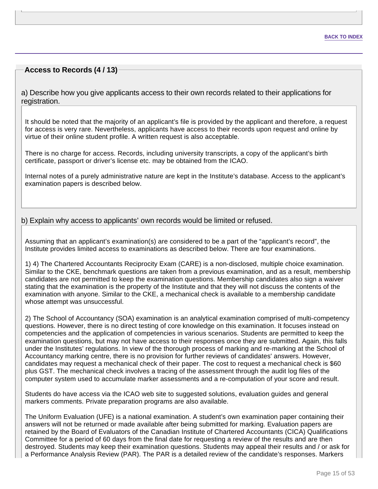# **Access to Records (4 / 13)**

a) Describe how you give applicants access to their own records related to their applications for registration.

It should be noted that the majority of an applicant's file is provided by the applicant and therefore, a request for access is very rare. Nevertheless, applicants have access to their records upon request and online by virtue of their online student profile. A written request is also acceptable.

There is no charge for access. Records, including university transcripts, a copy of the applicant's birth certificate, passport or driver's license etc. may be obtained from the ICAO.

Internal notes of a purely administrative nature are kept in the Institute's database. Access to the applicant's examination papers is described below.

## b) Explain why access to applicants' own records would be limited or refused.

Assuming that an applicant's examination(s) are considered to be a part of the "applicant's record", the Institute provides limited access to examinations as described below. There are four examinations.

1) 4) The Chartered Accountants Reciprocity Exam (CARE) is a non-disclosed, multiple choice examination. Similar to the CKE, benchmark questions are taken from a previous examination, and as a result, membership candidates are not permitted to keep the examination questions. Membership candidates also sign a waiver stating that the examination is the property of the Institute and that they will not discuss the contents of the examination with anyone. Similar to the CKE, a mechanical check is available to a membership candidate whose attempt was unsuccessful.

2) The School of Accountancy (SOA) examination is an analytical examination comprised of multi-competency questions. However, there is no direct testing of core knowledge on this examination. It focuses instead on competencies and the application of competencies in various scenarios. Students are permitted to keep the examination questions, but may not have access to their responses once they are submitted. Again, this falls under the Institutes' regulations. In view of the thorough process of marking and re-marking at the School of Accountancy marking centre, there is no provision for further reviews of candidates' answers. However, candidates may request a mechanical check of their paper. The cost to request a mechanical check is \$60 plus GST. The mechanical check involves a tracing of the assessment through the audit log files of the computer system used to accumulate marker assessments and a re-computation of your score and result.

Students do have access via the ICAO web site to suggested solutions, evaluation guides and general markers comments. Private preparation programs are also available.

The Uniform Evaluation (UFE) is a national examination. A student's own examination paper containing their answers will not be returned or made available after being submitted for marking. Evaluation papers are retained by the Board of Evaluators of the Canadian Institute of Chartered Accountants (CICA) Qualifications Committee for a period of 60 days from the final date for requesting a review of the results and are then destroyed. Students may keep their examination questions. Students may appeal their results and / or ask for a Performance Analysis Review (PAR). The PAR is a detailed review of the candidate's responses. Markers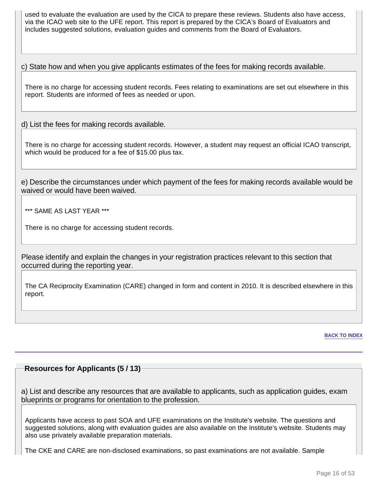used to evaluate the evaluation are used by the CICA to prepare these reviews. Students also have access, via the ICAO web site to the UFE report. This report is prepared by the CICA's Board of Evaluators and includes suggested solutions, evaluation guides and comments from the Board of Evaluators.

c) State how and when you give applicants estimates of the fees for making records available.

There is no charge for accessing student records. Fees relating to examinations are set out elsewhere in this report. Students are informed of fees as needed or upon.

d) List the fees for making records available.

There is no charge for accessing student records. However, a student may request an official ICAO transcript, which would be produced for a fee of \$15.00 plus tax.

e) Describe the circumstances under which payment of the fees for making records available would be waived or would have been waived.

\*\*\* SAME AS LAST YEAR \*\*\*

There is no charge for accessing student records.

Please identify and explain the changes in your registration practices relevant to this section that occurred during the reporting year.

The CA Reciprocity Examination (CARE) changed in form and content in 2010. It is described elsewhere in this report.

**BACK TO INDEX**

## **Resources for Applicants (5 / 13)**

a) List and describe any resources that are available to applicants, such as application guides, exam blueprints or programs for orientation to the profession.

Applicants have access to past SOA and UFE examinations on the Institute's website. The questions and suggested solutions, along with evaluation guides are also available on the Institute's website. Students may also use privately available preparation materials.

The CKE and CARE are non-disclosed examinations, so past examinations are not available. Sample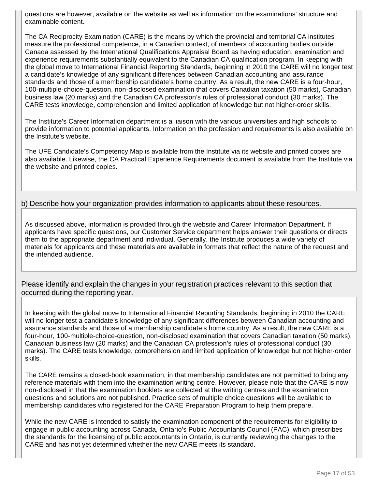questions are however, available on the website as well as information on the examinations' structure and examinable content.

The CA Reciprocity Examination (CARE) is the means by which the provincial and territorial CA institutes measure the professional competence, in a Canadian context, of members of accounting bodies outside Canada assessed by the International Qualifications Appraisal Board as having education, examination and experience requirements substantially equivalent to the Canadian CA qualification program. In keeping with the global move to International Financial Reporting Standards, beginning in 2010 the CARE will no longer test a candidate's knowledge of any significant differences between Canadian accounting and assurance standards and those of a membership candidate's home country. As a result, the new CARE is a four-hour, 100-multiple-choice-question, non-disclosed examination that covers Canadian taxation (50 marks), Canadian business law (20 marks) and the Canadian CA profession's rules of professional conduct (30 marks). The CARE tests knowledge, comprehension and limited application of knowledge but not higher-order skills.

The Institute's Career Information department is a liaison with the various universities and high schools to provide information to potential applicants. Information on the profession and requirements is also available on the Institute's website.

The UFE Candidate's Competency Map is available from the Institute via its website and printed copies are also available. Likewise, the CA Practical Experience Requirements document is available from the Institute via the website and printed copies.

## b) Describe how your organization provides information to applicants about these resources.

As discussed above, information is provided through the website and Career Information Department. If applicants have specific questions, our Customer Service department helps answer their questions or directs them to the appropriate department and individual. Generally, the Institute produces a wide variety of materials for applicants and these materials are available in formats that reflect the nature of the request and the intended audience.

Please identify and explain the changes in your registration practices relevant to this section that occurred during the reporting year.

In keeping with the global move to International Financial Reporting Standards, beginning in 2010 the CARE will no longer test a candidate's knowledge of any significant differences between Canadian accounting and assurance standards and those of a membership candidate's home country. As a result, the new CARE is a four-hour, 100-multiple-choice-question, non-disclosed examination that covers Canadian taxation (50 marks), Canadian business law (20 marks) and the Canadian CA profession's rules of professional conduct (30 marks). The CARE tests knowledge, comprehension and limited application of knowledge but not higher-order skills.

The CARE remains a closed-book examination, in that membership candidates are not permitted to bring any reference materials with them into the examination writing centre. However, please note that the CARE is now non-disclosed in that the examination booklets are collected at the writing centres and the examination questions and solutions are not published. Practice sets of multiple choice questions will be available to membership candidates who registered for the CARE Preparation Program to help them prepare.

While the new CARE is intended to satisfy the examination component of the requirements for eligibility to engage in public accounting across Canada, Ontario's Public Accountants Council (PAC), which prescribes the standards for the licensing of public accountants in Ontario, is currently reviewing the changes to the CARE and has not yet determined whether the new CARE meets its standard.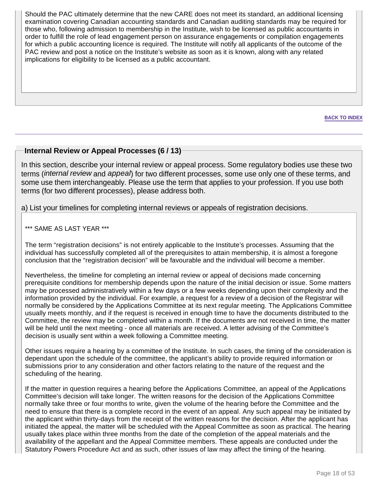Should the PAC ultimately determine that the new CARE does not meet its standard, an additional licensing examination covering Canadian accounting standards and Canadian auditing standards may be required for those who, following admission to membership in the Institute, wish to be licensed as public accountants in order to fulfill the role of lead engagement person on assurance engagements or compilation engagements for which a public accounting licence is required. The Institute will notify all applicants of the outcome of the PAC review and post a notice on the Institute's website as soon as it is known, along with any related implications for eligibility to be licensed as a public accountant.

**BACK TO INDEX**

## **Internal Review or Appeal Processes (6 / 13)**

In this section, describe your internal review or appeal process. Some regulatory bodies use these two terms (*internal review* and appeal) for two different processes, some use only one of these terms, and some use them interchangeably. Please use the term that applies to your profession. If you use both terms (for two different processes), please address both.

a) List your timelines for completing internal reviews or appeals of registration decisions.

\*\*\* SAME AS LAST YEAR \*\*\*

The term "registration decisions" is not entirely applicable to the Institute's processes. Assuming that the individual has successfully completed all of the prerequisites to attain membership, it is almost a foregone conclusion that the "registration decision" will be favourable and the individual will become a member.

Nevertheless, the timeline for completing an internal review or appeal of decisions made concerning prerequisite conditions for membership depends upon the nature of the initial decision or issue. Some matters may be processed administratively within a few days or a few weeks depending upon their complexity and the information provided by the individual. For example, a request for a review of a decision of the Registrar will normally be considered by the Applications Committee at its next regular meeting. The Applications Committee usually meets monthly, and if the request is received in enough time to have the documents distributed to the Committee, the review may be completed within a month. If the documents are not received in time, the matter will be held until the next meeting - once all materials are received. A letter advising of the Committee's decision is usually sent within a week following a Committee meeting.

Other issues require a hearing by a committee of the Institute. In such cases, the timing of the consideration is dependant upon the schedule of the committee, the applicant's ability to provide required information or submissions prior to any consideration and other factors relating to the nature of the request and the scheduling of the hearing.

If the matter in question requires a hearing before the Applications Committee, an appeal of the Applications Committee's decision will take longer. The written reasons for the decision of the Applications Committee normally take three or four months to write, given the volume of the hearing before the Committee and the need to ensure that there is a complete record in the event of an appeal. Any such appeal may be initiated by the applicant within thirty-days from the receipt of the written reasons for the decision. After the applicant has initiated the appeal, the matter will be scheduled with the Appeal Committee as soon as practical. The hearing usually takes place within three months from the date of the completion of the appeal materials and the availability of the appellant and the Appeal Committee members. These appeals are conducted under the Statutory Powers Procedure Act and as such, other issues of law may affect the timing of the hearing.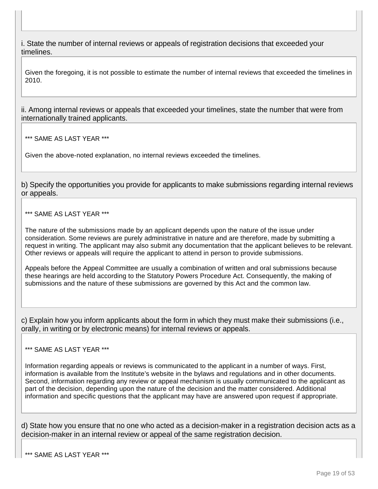i. State the number of internal reviews or appeals of registration decisions that exceeded your timelines.

Given the foregoing, it is not possible to estimate the number of internal reviews that exceeded the timelines in 2010.

ii. Among internal reviews or appeals that exceeded your timelines, state the number that were from internationally trained applicants.

\*\*\* SAME AS LAST YEAR \*\*\*

Given the above-noted explanation, no internal reviews exceeded the timelines.

b) Specify the opportunities you provide for applicants to make submissions regarding internal reviews or appeals.

\*\*\* SAME AS LAST YEAR \*\*\*

The nature of the submissions made by an applicant depends upon the nature of the issue under consideration. Some reviews are purely administrative in nature and are therefore, made by submitting a request in writing. The applicant may also submit any documentation that the applicant believes to be relevant. Other reviews or appeals will require the applicant to attend in person to provide submissions.

Appeals before the Appeal Committee are usually a combination of written and oral submissions because these hearings are held according to the Statutory Powers Procedure Act. Consequently, the making of submissions and the nature of these submissions are governed by this Act and the common law.

c) Explain how you inform applicants about the form in which they must make their submissions (i.e., orally, in writing or by electronic means) for internal reviews or appeals.

\*\*\* SAME AS LAST YEAR \*\*\*

Information regarding appeals or reviews is communicated to the applicant in a number of ways. First, information is available from the Institute's website in the bylaws and regulations and in other documents. Second, information regarding any review or appeal mechanism is usually communicated to the applicant as part of the decision, depending upon the nature of the decision and the matter considered. Additional information and specific questions that the applicant may have are answered upon request if appropriate.

d) State how you ensure that no one who acted as a decision-maker in a registration decision acts as a decision-maker in an internal review or appeal of the same registration decision.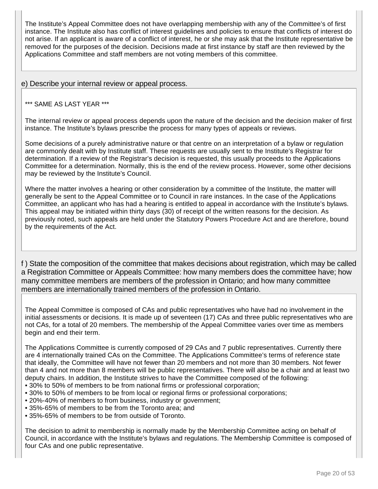The Institute's Appeal Committee does not have overlapping membership with any of the Committee's of first instance. The Institute also has conflict of interest guidelines and policies to ensure that conflicts of interest do not arise. If an applicant is aware of a conflict of interest, he or she may ask that the Institute representative be removed for the purposes of the decision. Decisions made at first instance by staff are then reviewed by the Applications Committee and staff members are not voting members of this committee.

e) Describe your internal review or appeal process.

## \*\*\* SAME AS LAST YEAR \*\*\*

The internal review or appeal process depends upon the nature of the decision and the decision maker of first instance. The Institute's bylaws prescribe the process for many types of appeals or reviews.

Some decisions of a purely administrative nature or that centre on an interpretation of a bylaw or regulation are commonly dealt with by Institute staff. These requests are usually sent to the Institute's Registrar for determination. If a review of the Registrar's decision is requested, this usually proceeds to the Applications Committee for a determination. Normally, this is the end of the review process. However, some other decisions may be reviewed by the Institute's Council.

Where the matter involves a hearing or other consideration by a committee of the Institute, the matter will generally be sent to the Appeal Committee or to Council in rare instances. In the case of the Applications Committee, an applicant who has had a hearing is entitled to appeal in accordance with the Institute's bylaws. This appeal may be initiated within thirty days (30) of receipt of the written reasons for the decision. As previously noted, such appeals are held under the Statutory Powers Procedure Act and are therefore, bound by the requirements of the Act.

f ) State the composition of the committee that makes decisions about registration, which may be called a Registration Committee or Appeals Committee: how many members does the committee have; how many committee members are members of the profession in Ontario; and how many committee members are internationally trained members of the profession in Ontario.

The Appeal Committee is composed of CAs and public representatives who have had no involvement in the initial assessments or decisions. It is made up of seventeen (17) CAs and three public representatives who are not CAs, for a total of 20 members. The membership of the Appeal Committee varies over time as members begin and end their term.

The Applications Committee is currently composed of 29 CAs and 7 public representatives. Currently there are 4 internationally trained CAs on the Committee. The Applications Committee's terms of reference state that ideally, the Committee will have not fewer than 20 members and not more than 30 members. Not fewer than 4 and not more than 8 members will be public representatives. There will also be a chair and at least two deputy chairs. In addition, the Institute strives to have the Committee composed of the following: • 30% to 50% of members to be from national firms or professional corporation;

- 
- 30% to 50% of members to be from local or regional firms or professional corporations; • 20%-40% of members to from business, industry or government;
- 35%-65% of members to be from the Toronto area; and
- 35%-65% of members to be from outside of Toronto.

The decision to admit to membership is normally made by the Membership Committee acting on behalf of Council, in accordance with the Institute's bylaws and regulations. The Membership Committee is composed of four CAs and one public representative.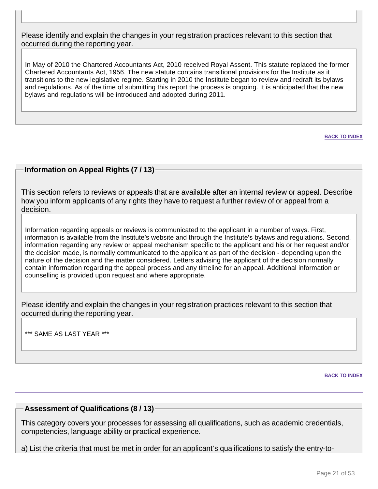Please identify and explain the changes in your registration practices relevant to this section that occurred during the reporting year.

In May of 2010 the Chartered Accountants Act, 2010 received Royal Assent. This statute replaced the former Chartered Accountants Act, 1956. The new statute contains transitional provisions for the Institute as it transitions to the new legislative regime. Starting in 2010 the Institute began to review and redraft its bylaws and regulations. As of the time of submitting this report the process is ongoing. It is anticipated that the new bylaws and regulations will be introduced and adopted during 2011.

**BACK TO INDEX**

# **Information on Appeal Rights (7 / 13)**

This section refers to reviews or appeals that are available after an internal review or appeal. Describe how you inform applicants of any rights they have to request a further review of or appeal from a decision.

Information regarding appeals or reviews is communicated to the applicant in a number of ways. First, information is available from the Institute's website and through the Institute's bylaws and regulations. Second, information regarding any review or appeal mechanism specific to the applicant and his or her request and/or the decision made, is normally communicated to the applicant as part of the decision - depending upon the nature of the decision and the matter considered. Letters advising the applicant of the decision normally contain information regarding the appeal process and any timeline for an appeal. Additional information or counselling is provided upon request and where appropriate.

Please identify and explain the changes in your registration practices relevant to this section that occurred during the reporting year.

\*\*\* SAME AS LAST YEAR \*\*\*

**BACK TO INDEX**

#### **Assessment of Qualifications (8 / 13)**

This category covers your processes for assessing all qualifications, such as academic credentials, competencies, language ability or practical experience.

a) List the criteria that must be met in order for an applicant's qualifications to satisfy the entry-to-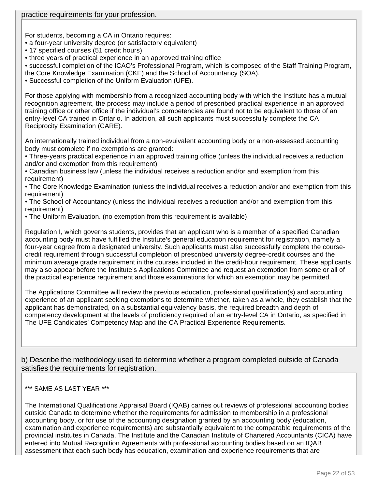For students, becoming a CA in Ontario requires:

- a four-year university degree (or satisfactory equivalent)
- 17 specified courses (51 credit hours)
- three years of practical experience in an approved training office
- successful completion of the ICAO's Professional Program, which is composed of the Staff Training Program, the Core Knowledge Examination (CKE) and the School of Accountancy (SOA).
- Successful completion of the Uniform Evaluation (UFE).

For those applying with membership from a recognized accounting body with which the Institute has a mutual recognition agreement, the process may include a period of prescribed practical experience in an approved training office or other office if the individual's competencies are found not to be equivalent to those of an entry-level CA trained in Ontario. In addition, all such applicants must successfully complete the CA Reciprocity Examination (CARE).

An internationally trained individual from a non-evuivalent accounting body or a non-assessed accounting body must complete if no exemptions are granted:

• Three-years practical experience in an approved training office (unless the individual receives a reduction and/or and exemption from this requirement)

• Canadian business law (unless the individual receives a reduction and/or and exemption from this requirement)

• The Core Knowledge Examination (unless the individual receives a reduction and/or and exemption from this requirement)

• The School of Accountancy (unless the individual receives a reduction and/or and exemption from this requirement)

• The Uniform Evaluation. (no exemption from this requirement is available)

Regulation I, which governs students, provides that an applicant who is a member of a specified Canadian accounting body must have fulfilled the Institute's general education requirement for registration, namely a four-year degree from a designated university. Such applicants must also successfully complete the coursecredit requirement through successful completion of prescribed university degree-credit courses and the minimum average grade requirement in the courses included in the credit-hour requirement. These applicants may also appear before the Institute's Applications Committee and request an exemption from some or all of the practical experience requirement and those examinations for which an exemption may be permitted.

The Applications Committee will review the previous education, professional qualification(s) and accounting experience of an applicant seeking exemptions to determine whether, taken as a whole, they establish that the applicant has demonstrated, on a substantial equivalency basis, the required breadth and depth of competency development at the levels of proficiency required of an entry-level CA in Ontario, as specified in The UFE Candidates' Competency Map and the CA Practical Experience Requirements.

b) Describe the methodology used to determine whether a program completed outside of Canada satisfies the requirements for registration.

## \*\*\* SAME AS LAST YEAR \*\*\*

The International Qualifications Appraisal Board (IQAB) carries out reviews of professional accounting bodies outside Canada to determine whether the requirements for admission to membership in a professional accounting body, or for use of the accounting designation granted by an accounting body (education, examination and experience requirements) are substantially equivalent to the comparable requirements of the provincial institutes in Canada. The Institute and the Canadian Institute of Chartered Accountants (CICA) have entered into Mutual Recognition Agreements with professional accounting bodies based on an IQAB assessment that each such body has education, examination and experience requirements that are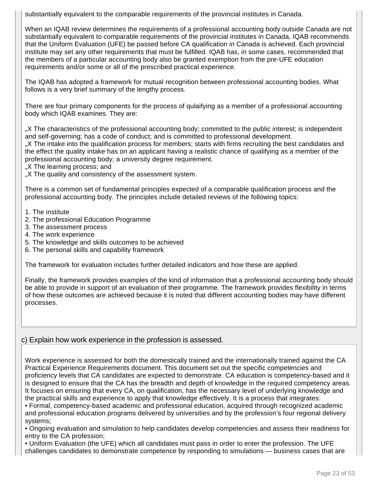substantially equivalent to the comparable requirements of the provincial institutes in Canada.

When an IQAB review determines the requirements of a professional accounting body outside Canada are not substantially equivalent to comparable requirements of the provincial institutes in Canada, IQAB recommends that the Uniform Evaluation (UFE) be passed before CA qualification in Canada is achieved. Each provincial institute may set any other requirements that must be fulfilled. IQAB has, in some cases, recommended that the members of a particular accounting body also be granted exemption from the pre-UFE education requirements and/or some or all of the prescribed practical experience.

The IQAB has adopted a framework for mutual recognition between professional accounting bodies. What follows is a very brief summary of the lengthy process.

There are four primary components for the process of qulaifying as a member of a professional accounting body which IQAB examines. They are:

"X The characteristics of the professional accounting body; committed to the public interest; is independent and self-governing; has a code of conduct; and is committed to professional development.

"X The intake into the qualification process for members; starts with firms recruiting the best candidates and the effect the quality intake has on an applicant having a realistic chance of qualifying as a member of the professional accounting body; a university degree requirement.

"X The learning process; and

..X The quality and consistency of the assessment system.

There is a common set of fundamental principles expected of a comparable qualification process and the professional accounting body. The principles include detailed reviews of the following topics:

- 1. The institute
- 2. The professional Education Programme
- 3. The assessment process
- 4. The work experience
- 5. The knowledge and skills outcomes to be achieved
- 6. The personal skills and capability framework

The framework for evaluation includes further detailed indicators and how these are applied.

Finally, the framework provides examples of the kind of information that a professional accounting body should be able to provide in support of an evaluation of their programme. The framework provides flexibility in terms of how these outcomes are achieved because it is noted that different accounting bodies may have different processes.

## c) Explain how work experience in the profession is assessed.

Work experience is assessed for both the domestically trained and the internationally trained against the CA Practical Experience Requirements document. This document set out the specific competencies and proficiency levels that CA candidates are expected to demonstrate. CA education is competency-based and it is designed to ensure that the CA has the breadth and depth of knowledge in the required competency areas. It focuses on ensuring that every CA, on qualification, has the necessary level of underlying knowledge and the practical skills and experience to apply that knowledge effectively. It is a process that integrates:

• Formal, competency-based academic and professional education, acquired through recognized academic and professional education programs delivered by universities and by the profession's four regional delivery systems;

• Ongoing evaluation and simulation to help candidates develop competencies and assess their readiness for entry to the CA profession;

• Uniform Evaluation (the UFE) which all candidates must pass in order to enter the profession. The UFE challenges candidates to demonstrate competence by responding to simulations — business cases that are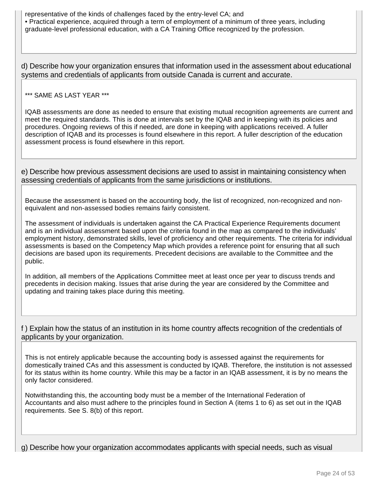representative of the kinds of challenges faced by the entry-level CA; and • Practical experience, acquired through a term of employment of a minimum of three years, including graduate-level professional education, with a CA Training Office recognized by the profession.

d) Describe how your organization ensures that information used in the assessment about educational systems and credentials of applicants from outside Canada is current and accurate.

\*\*\* SAME AS LAST YEAR \*\*\*

IQAB assessments are done as needed to ensure that existing mutual recognition agreements are current and meet the required standards. This is done at intervals set by the IQAB and in keeping with its policies and procedures. Ongoing reviews of this if needed, are done in keeping with applications received. A fuller description of IQAB and its processes is found elsewhere in this report. A fuller description of the education assessment process is found elsewhere in this report.

e) Describe how previous assessment decisions are used to assist in maintaining consistency when assessing credentials of applicants from the same jurisdictions or institutions.

Because the assessment is based on the accounting body, the list of recognized, non-recognized and nonequivalent and non-assessed bodies remains fairly consistent.

The assessment of individuals is undertaken against the CA Practical Experience Requirements document and is an individual assessment based upon the criteria found in the map as compared to the individuals' employment history, demonstrated skills, level of proficiency and other requirements. The criteria for individual assessments is based on the Competency Map which provides a reference point for ensuring that all such decisions are based upon its requirements. Precedent decisions are available to the Committee and the public.

In addition, all members of the Applications Committee meet at least once per year to discuss trends and precedents in decision making. Issues that arise during the year are considered by the Committee and updating and training takes place during this meeting.

f ) Explain how the status of an institution in its home country affects recognition of the credentials of applicants by your organization.

This is not entirely applicable because the accounting body is assessed against the requirements for domestically trained CAs and this assessment is conducted by IQAB. Therefore, the institution is not assessed for its status within its home country. While this may be a factor in an IQAB assessment, it is by no means the only factor considered.

Notwithstanding this, the accounting body must be a member of the International Federation of Accountants and also must adhere to the principles found in Section A (items 1 to 6) as set out in the IQAB requirements. See S. 8(b) of this report.

g) Describe how your organization accommodates applicants with special needs, such as visual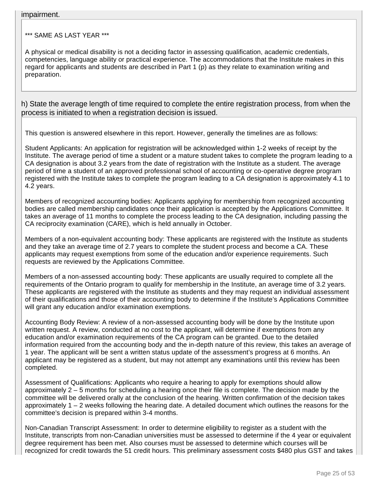#### impairment.

\*\*\* SAME AS LAST YEAR \*\*\*

A physical or medical disability is not a deciding factor in assessing qualification, academic credentials, competencies, language ability or practical experience. The accommodations that the Institute makes in this regard for applicants and students are described in Part 1 (p) as they relate to examination writing and preparation.

h) State the average length of time required to complete the entire registration process, from when the process is initiated to when a registration decision is issued.

This question is answered elsewhere in this report. However, generally the timelines are as follows:

Student Applicants: An application for registration will be acknowledged within 1-2 weeks of receipt by the Institute. The average period of time a student or a mature student takes to complete the program leading to a CA designation is about 3.2 years from the date of registration with the Institute as a student. The average period of time a student of an approved professional school of accounting or co-operative degree program registered with the Institute takes to complete the program leading to a CA designation is approximately 4.1 to 4.2 years.

Members of recognized accounting bodies: Applicants applying for membership from recognized accounting bodies are called membership candidates once their application is accepted by the Applications Committee. It takes an average of 11 months to complete the process leading to the CA designation, including passing the CA reciprocity examination (CARE), which is held annually in October.

Members of a non-equivalent accounting body: These applicants are registered with the Institute as students and they take an average time of 2.7 years to complete the student process and become a CA. These applicants may request exemptions from some of the education and/or experience requirements. Such requests are reviewed by the Applications Committee.

Members of a non-assessed accounting body: These applicants are usually required to complete all the requirements of the Ontario program to qualify for membership in the Institute, an average time of 3.2 years. These applicants are registered with the Institute as students and they may request an individual assessment of their qualifications and those of their accounting body to determine if the Institute's Applications Committee will grant any education and/or examination exemptions.

Accounting Body Review: A review of a non-assessed accounting body will be done by the Institute upon written request. A review, conducted at no cost to the applicant, will determine if exemptions from any education and/or examination requirements of the CA program can be granted. Due to the detailed information required from the accounting body and the in-depth nature of this review, this takes an average of 1 year. The applicant will be sent a written status update of the assessment's progress at 6 months. An applicant may be registered as a student, but may not attempt any examinations until this review has been completed.

Assessment of Qualifications: Applicants who require a hearing to apply for exemptions should allow approximately 2 – 5 months for scheduling a hearing once their file is complete. The decision made by the committee will be delivered orally at the conclusion of the hearing. Written confirmation of the decision takes approximately 1 – 2 weeks following the hearing date. A detailed document which outlines the reasons for the committee's decision is prepared within 3-4 months.

Non-Canadian Transcript Assessment: In order to determine eligibility to register as a student with the Institute, transcripts from non-Canadian universities must be assessed to determine if the 4 year or equivalent degree requirement has been met. Also courses must be assessed to determine which courses will be recognized for credit towards the 51 credit hours. This preliminary assessment costs \$480 plus GST and takes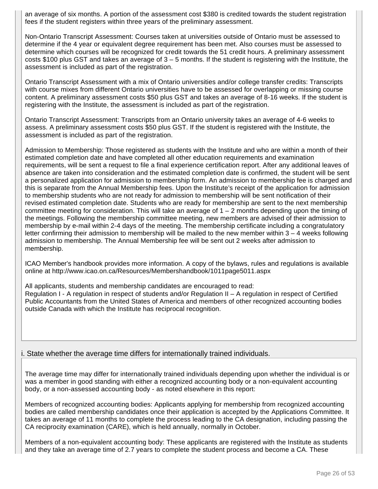an average of six months. A portion of the assessment cost \$380 is credited towards the student registration fees if the student registers within three years of the preliminary assessment.

Non-Ontario Transcript Assessment: Courses taken at universities outside of Ontario must be assessed to determine if the 4 year or equivalent degree requirement has been met. Also courses must be assessed to determine which courses will be recognized for credit towards the 51 credit hours. A preliminary assessment costs \$100 plus GST and takes an average of 3 – 5 months. If the student is registering with the Institute, the assessment is included as part of the registration.

Ontario Transcript Assessment with a mix of Ontario universities and/or college transfer credits: Transcripts with course mixes from different Ontario universities have to be assessed for overlapping or missing course content. A preliminary assessment costs \$50 plus GST and takes an average of 8-16 weeks. If the student is registering with the Institute, the assessment is included as part of the registration.

Ontario Transcript Assessment: Transcripts from an Ontario university takes an average of 4-6 weeks to assess. A preliminary assessment costs \$50 plus GST. If the student is registered with the Institute, the assessment is included as part of the registration.

Admission to Membership: Those registered as students with the Institute and who are within a month of their estimated completion date and have completed all other education requirements and examination requirements, will be sent a request to file a final experience certification report. After any additional leaves of absence are taken into consideration and the estimated completion date is confirmed, the student will be sent a personalized application for admission to membership form. An admission to membership fee is charged and this is separate from the Annual Membership fees. Upon the Institute's receipt of the application for admission to membership students who are not ready for admission to membership will be sent notification of their revised estimated completion date. Students who are ready for membership are sent to the next membership committee meeting for consideration. This will take an average of 1 – 2 months depending upon the timing of the meetings. Following the membership committee meeting, new members are advised of their admission to membership by e-mail within 2-4 days of the meeting. The membership certificate including a congratulatory letter confirming their admission to membership will be mailed to the new member within 3 – 4 weeks following admission to membership. The Annual Membership fee will be sent out 2 weeks after admission to membership.

ICAO Member's handbook provides more information. A copy of the bylaws, rules and regulations is available online at http://www.icao.on.ca/Resources/Membershandbook/1011page5011.aspx

All applicants, students and membership candidates are encouraged to read: Regulation I - A regulation in respect of students and/or Regulation II – A regulation in respect of Certified Public Accountants from the United States of America and members of other recognized accounting bodies outside Canada with which the Institute has reciprocal recognition.

## i. State whether the average time differs for internationally trained individuals.

The average time may differ for internationally trained individuals depending upon whether the individual is or was a member in good standing with either a recognized accounting body or a non-equivalent accounting body, or a non-assessed accounting body - as noted elsewhere in this report:

Members of recognized accounting bodies: Applicants applying for membership from recognized accounting bodies are called membership candidates once their application is accepted by the Applications Committee. It takes an average of 11 months to complete the process leading to the CA designation, including passing the CA reciprocity examination (CARE), which is held annually, normally in October.

Members of a non-equivalent accounting body: These applicants are registered with the Institute as students and they take an average time of 2.7 years to complete the student process and become a CA. These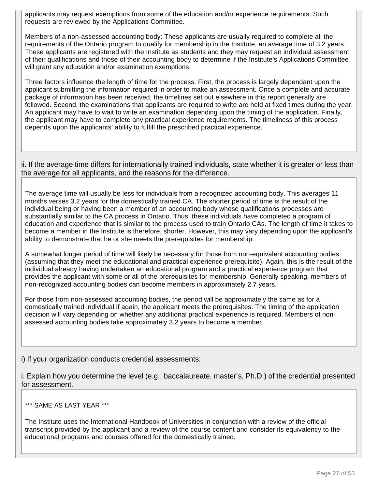applicants may request exemptions from some of the education and/or experience requirements. Such requests are reviewed by the Applications Committee.

Members of a non-assessed accounting body: These applicants are usually required to complete all the requirements of the Ontario program to qualify for membership in the Institute, an average time of 3.2 years. These applicants are registered with the Institute as students and they may request an individual assessment of their qualifications and those of their accounting body to determine if the Institute's Applications Committee will grant any education and/or examination exemptions.

Three factors influence the length of time for the process. First, the process is largely dependant upon the applicant submitting the information required in order to make an assessment. Once a complete and accurate package of information has been received, the timelines set out elsewhere in this report generally are followed. Second, the examinations that applicants are required to write are held at fixed times during the year. An applicant may have to wait to write an examination depending upon the timing of the application. Finally, the applicant may have to complete any practical experience requirements. The timeliness of this process depends upon the applicants' ability to fulfill the prescribed practical experience.

ii. If the average time differs for internationally trained individuals, state whether it is greater or less than the average for all applicants, and the reasons for the difference.

The average time will usually be less for individuals from a recognized accounting body. This averages 11 months verses 3.2 years for the domestically trained CA. The shorter period of time is the result of the individual being or having been a member of an accounting body whose qualifications processes are substantially similar to the CA process in Ontario. Thus, these individuals have completed a program of education and experience that is similar to the process used to train Ontario CAs. The length of time it takes to become a member in the Institute is therefore, shorter. However, this may vary depending upon the applicant's ability to demonstrate that he or she meets the prerequisites for membership.

A somewhat longer period of time will likely be necessary for those from non-equivalent accounting bodies (assuming that they meet the educational and practical experience prerequisite). Again, this is the result of the individual already having undertaken an educational program and a practical experience program that provides the applicant with some or all of the prerequisites for membership. Generally speaking, members of non-recognized accounting bodies can become members in approximately 2.7 years.

For those from non-assessed accounting bodies, the period will be approximately the same as for a domestically trained individual if again, the applicant meets the prerequisites. The timing of the application decision will vary depending on whether any additional practical experience is required. Members of nonassessed accounting bodies take approximately 3.2 years to become a member.

i) If your organization conducts credential assessments:

i. Explain how you determine the level (e.g., baccalaureate, master's, Ph.D.) of the credential presented for assessment.

## \*\*\* SAME AS LAST YEAR \*\*\*

The Institute uses the International Handbook of Universities in conjunction with a review of the official transcript provided by the applicant and a review of the course content and consider its equivalency to the educational programs and courses offered for the domestically trained.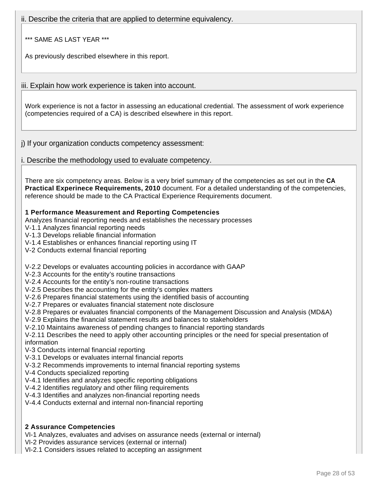ii. Describe the criteria that are applied to determine equivalency.

\*\*\* SAME AS LAST YEAR \*\*\*

As previously described elsewhere in this report.

iii. Explain how work experience is taken into account.

Work experience is not a factor in assessing an educational credential. The assessment of work experience (competencies required of a CA) is described elsewhere in this report.

j) If your organization conducts competency assessment:

i. Describe the methodology used to evaluate competency.

There are six competency areas. Below is a very brief summary of the competencies as set out in the **CA Practical Experinece Requirements, 2010** document. For a detailed understanding of the competencies, reference should be made to the CA Practical Experience Requirements document.

## **1 Performance Measurement and Reporting Competencies**

Analyzes financial reporting needs and establishes the necessary processes

V-1.1 Analyzes financial reporting needs

V-1.3 Develops reliable financial information

V-1.4 Establishes or enhances financial reporting using IT

V-2 Conducts external financial reporting

V-2.2 Develops or evaluates accounting policies in accordance with GAAP

V-2.3 Accounts for the entity's routine transactions

V-2.4 Accounts for the entity's non-routine transactions

V-2.5 Describes the accounting for the entity's complex matters

V-2.6 Prepares financial statements using the identified basis of accounting

V-2.7 Prepares or evaluates financial statement note disclosure

V-2.8 Prepares or evaluates financial components of the Management Discussion and Analysis (MD&A)

V-2.9 Explains the financial statement results and balances to stakeholders

V-2.10 Maintains awareness of pending changes to financial reporting standards

V-2.11 Describes the need to apply other accounting principles or the need for special presentation of information

V-3 Conducts internal financial reporting

V-3.1 Develops or evaluates internal financial reports

V-3.2 Recommends improvements to internal financial reporting systems

V-4 Conducts specialized reporting

V-4.1 Identifies and analyzes specific reporting obligations

V-4.2 Identifies regulatory and other filing requirements

V-4.3 Identifies and analyzes non-financial reporting needs

V-4.4 Conducts external and internal non-financial reporting

## **2 Assurance Competencies**

VI-1 Analyzes, evaluates and advises on assurance needs (external or internal)

VI-2 Provides assurance services (external or internal)

VI-2.1 Considers issues related to accepting an assignment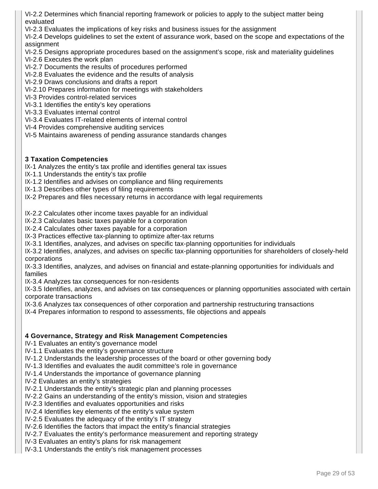VI-2.2 Determines which financial reporting framework or policies to apply to the subject matter being evaluated

VI-2.3 Evaluates the implications of key risks and business issues for the assignment

VI-2.4 Develops guidelines to set the extent of assurance work, based on the scope and expectations of the assignment

- VI-2.5 Designs appropriate procedures based on the assignment's scope, risk and materiality guidelines
- VI-2.6 Executes the work plan
- VI-2.7 Documents the results of procedures performed
- VI-2.8 Evaluates the evidence and the results of analysis
- VI-2.9 Draws conclusions and drafts a report
- VI-2.10 Prepares information for meetings with stakeholders
- VI-3 Provides control-related services
- VI-3.1 Identifies the entity's key operations
- VI-3.3 Evaluates internal control
- VI-3.4 Evaluates IT-related elements of internal control
- VI-4 Provides comprehensive auditing services
- VI-5 Maintains awareness of pending assurance standards changes

#### **3 Taxation Competencies**

- IX-1 Analyzes the entity's tax profile and identifies general tax issues
- IX-1.1 Understands the entity's tax profile
- IX-1.2 Identifies and advises on compliance and filing requirements
- IX-1.3 Describes other types of filing requirements
- IX-2 Prepares and files necessary returns in accordance with legal requirements

IX-2.2 Calculates other income taxes payable for an individual

- IX-2.3 Calculates basic taxes payable for a corporation
- IX-2.4 Calculates other taxes payable for a corporation
- IX-3 Practices effective tax-planning to optimize after-tax returns
- IX-3.1 Identifies, analyzes, and advises on specific tax-planning opportunities for individuals
- IX-3.2 Identifies, analyzes, and advises on specific tax-planning opportunities for shareholders of closely-held corporations
- IX-3.3 Identifies, analyzes, and advises on financial and estate-planning opportunities for individuals and families
- IX-3.4 Analyzes tax consequences for non-residents
- IX-3.5 Identifies, analyzes, and advises on tax consequences or planning opportunities associated with certain corporate transactions
- IX-3.6 Analyzes tax consequences of other corporation and partnership restructuring transactions
- IX-4 Prepares information to respond to assessments, file objections and appeals

## **4 Governance, Strategy and Risk Management Competencies**

IV-1 Evaluates an entity's governance model

- IV-1.1 Evaluates the entity's governance structure
- IV-1.2 Understands the leadership processes of the board or other governing body
- IV-1.3 Identifies and evaluates the audit committee's role in governance
- IV-1.4 Understands the importance of governance planning
- IV-2 Evaluates an entity's strategies
- IV-2.1 Understands the entity's strategic plan and planning processes
- IV-2.2 Gains an understanding of the entity's mission, vision and strategies
- IV-2.3 Identifies and evaluates opportunities and risks
- IV-2.4 Identifies key elements of the entity's value system
- IV-2.5 Evaluates the adequacy of the entity's IT strategy
- IV-2.6 Identifies the factors that impact the entity's financial strategies
- IV-2.7 Evaluates the entity's performance measurement and reporting strategy
- IV-3 Evaluates an entity's plans for risk management
- IV-3.1 Understands the entity's risk management processes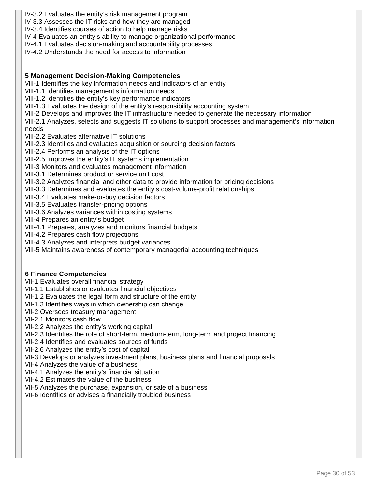- IV-3.2 Evaluates the entity's risk management program
- IV-3.3 Assesses the IT risks and how they are managed
- IV-3.4 Identifies courses of action to help manage risks
- IV-4 Evaluates an entity's ability to manage organizational performance
- IV-4.1 Evaluates decision-making and accountability processes
- IV-4.2 Understands the need for access to information

## **5 Management Decision-Making Competencies**

VIII-1 Identifies the key information needs and indicators of an entity

- VIII-1.1 Identifies management's information needs
- VIII-1.2 Identifies the entity's key performance indicators

VIII-1.3 Evaluates the design of the entity's responsibility accounting system

- VIII-2 Develops and improves the IT infrastructure needed to generate the necessary information
- VIII-2.1 Analyzes, selects and suggests IT solutions to support processes and management's information needs
- VIII-2.2 Evaluates alternative IT solutions
- VIII-2.3 Identifies and evaluates acquisition or sourcing decision factors
- VIII-2.4 Performs an analysis of the IT options
- VIII-2.5 Improves the entity's IT systems implementation
- VIII-3 Monitors and evaluates management information
- VIII-3.1 Determines product or service unit cost
- VIII-3.2 Analyzes financial and other data to provide information for pricing decisions
- VIII-3.3 Determines and evaluates the entity's cost-volume-profit relationships
- VIII-3.4 Evaluates make-or-buy decision factors
- VIII-3.5 Evaluates transfer-pricing options
- VIII-3.6 Analyzes variances within costing systems
- VIII-4 Prepares an entity's budget
- VIII-4.1 Prepares, analyzes and monitors financial budgets
- VIII-4.2 Prepares cash flow projections
- VIII-4.3 Analyzes and interprets budget variances
- VIII-5 Maintains awareness of contemporary managerial accounting techniques

## **6 Finance Competencies**

- VII-1 Evaluates overall financial strategy
- VII-1.1 Establishes or evaluates financial objectives
- VII-1.2 Evaluates the legal form and structure of the entity
- VII-1.3 Identifies ways in which ownership can change
- VII-2 Oversees treasury management
- VII-2.1 Monitors cash flow
- VII-2.2 Analyzes the entity's working capital
- VII-2.3 Identifies the role of short-term, medium-term, long-term and project financing
- VII-2.4 Identifies and evaluates sources of funds
- VII-2.6 Analyzes the entity's cost of capital
- VII-3 Develops or analyzes investment plans, business plans and financial proposals
- VII-4 Analyzes the value of a business
- VII-4.1 Analyzes the entity's financial situation
- VII-4.2 Estimates the value of the business
- VII-5 Analyzes the purchase, expansion, or sale of a business
- VII-6 Identifies or advises a financially troubled business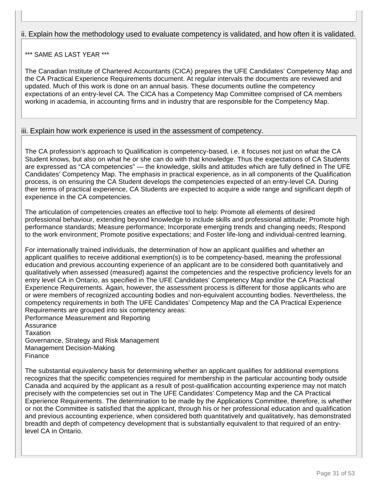# ii. Explain how the methodology used to evaluate competency is validated, and how often it is validated.

# \*\*\* SAME AS LAST YEAR \*\*\*

The Canadian Institute of Chartered Accountants (CICA) prepares the UFE Candidates' Competency Map and the CA Practical Experience Requirements document. At regular intervals the documents are reviewed and updated. Much of this work is done on an annual basis. These documents outline the competency expectations of an entry-level CA. The CICA has a Competency Map Committee comprised of CA members working in academia, in accounting firms and in industry that are responsible for the Competency Map.

## iii. Explain how work experience is used in the assessment of competency.

The CA profession's approach to Qualification is competency-based, i.e. it focuses not just on what the CA Student knows, but also on what he or she can do with that knowledge. Thus the expectations of CA Students are expressed as "CA competencies" — the knowledge, skills and attitudes which are fully defined in The UFE Candidates' Competency Map. The emphasis in practical experience, as in all components of the Qualification process, is on ensuring the CA Student develops the competencies expected of an entry-level CA. During their terms of practical experience, CA Students are expected to acquire a wide range and significant depth of experience in the CA competencies.

The articulation of competencies creates an effective tool to help: Promote all elements of desired professional behaviour, extending beyond knowledge to include skills and professional attitude; Promote high performance standards; Measure performance; Incorporate emerging trends and changing needs; Respond to the work environment; Promote positive expectations; and Foster life-long and individual-centred learning.

For internationally trained individuals, the determination of how an applicant qualifies and whether an applicant qualifies to receive additional exemption(s) is to be competency-based, meaning the professional education and previous accounting experience of an applicant are to be considered both quantitatively and qualitatively when assessed (measured) against the competencies and the respective proficiency levels for an entry level CA in Ontario, as specified in The UFE Candidates' Competency Map and/or the CA Practical Experience Requirements. Again, however, the assessment process is different for those applicants who are or were members of recognized accounting bodies and non-equivalent accounting bodies. Nevertheless, the competency requirements in both The UFE Candidates' Competency Map and the CA Practical Experience Requirements are grouped into six competency areas:

Performance Measurement and Reporting **Assurance** Taxation Governance, Strategy and Risk Management Management Decision-Making Finance

The substantial equivalency basis for determining whether an applicant qualifies for additional exemptions recognizes that the specific competencies required for membership in the particular accounting body outside Canada and acquired by the applicant as a result of post-qualification accounting experience may not match precisely with the competencies set out in The UFE Candidates' Competency Map and the CA Practical Experience Requirements. The determination to be made by the Applications Committee, therefore, is whether or not the Committee is satisfied that the applicant, through his or her professional education and qualification and previous accounting experience, when considered both quantitatively and qualitatively, has demonstrated breadth and depth of competency development that is substantially equivalent to that required of an entrylevel CA in Ontario.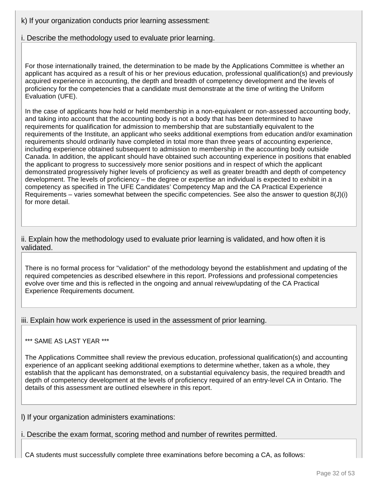k) If your organization conducts prior learning assessment:

i. Describe the methodology used to evaluate prior learning.

For those internationally trained, the determination to be made by the Applications Committee is whether an applicant has acquired as a result of his or her previous education, professional qualification(s) and previously acquired experience in accounting, the depth and breadth of competency development and the levels of proficiency for the competencies that a candidate must demonstrate at the time of writing the Uniform Evaluation (UFE).

In the case of applicants how hold or held membership in a non-equivalent or non-assessed accounting body, and taking into account that the accounting body is not a body that has been determined to have requirements for qualification for admission to membership that are substantially equivalent to the requirements of the Institute, an applicant who seeks additional exemptions from education and/or examination requirements should ordinarily have completed in total more than three years of accounting experience, including experience obtained subsequent to admission to membership in the accounting body outside Canada. In addition, the applicant should have obtained such accounting experience in positions that enabled the applicant to progress to successively more senior positions and in respect of which the applicant demonstrated progressively higher levels of proficiency as well as greater breadth and depth of competency development. The levels of proficiency – the degree or expertise an individual is expected to exhibit in a competency as specified in The UFE Candidates' Competency Map and the CA Practical Experience Requirements – varies somewhat between the specific competencies. See also the answer to question 8(J)(i) for more detail.

ii. Explain how the methodology used to evaluate prior learning is validated, and how often it is validated.

There is no formal process for "validation" of the methodology beyond the establishment and updating of the required competencies as described elsewhere in this report. Professions and professional competencies evolve over time and this is reflected in the ongoing and annual reivew/updating of the CA Practical Experience Requirements document.

iii. Explain how work experience is used in the assessment of prior learning.

\*\*\* SAME AS LAST YEAR \*\*\*

The Applications Committee shall review the previous education, professional qualification(s) and accounting experience of an applicant seeking additional exemptions to determine whether, taken as a whole, they establish that the applicant has demonstrated, on a substantial equivalency basis, the required breadth and depth of competency development at the levels of proficiency required of an entry-level CA in Ontario. The details of this assessment are outlined elsewhere in this report.

l) If your organization administers examinations:

i. Describe the exam format, scoring method and number of rewrites permitted.

CA students must successfully complete three examinations before becoming a CA, as follows: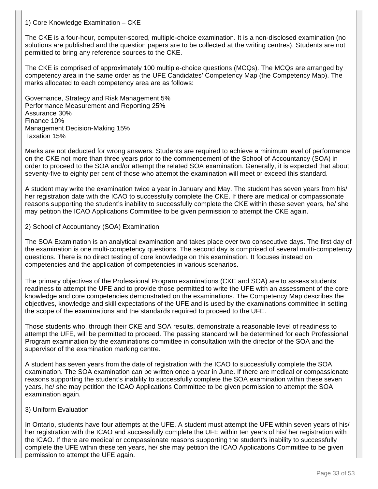#### 1) Core Knowledge Examination – CKE

The CKE is a four-hour, computer-scored, multiple-choice examination. It is a non-disclosed examination (no solutions are published and the question papers are to be collected at the writing centres). Students are not permitted to bring any reference sources to the CKE.

The CKE is comprised of approximately 100 multiple-choice questions (MCQs). The MCQs are arranged by competency area in the same order as the UFE Candidates' Competency Map (the Competency Map). The marks allocated to each competency area are as follows:

Governance, Strategy and Risk Management 5% Performance Measurement and Reporting 25% Assurance 30% Finance 10% Management Decision-Making 15% Taxation 15%

Marks are not deducted for wrong answers. Students are required to achieve a minimum level of performance on the CKE not more than three years prior to the commencement of the School of Accountancy (SOA) in order to proceed to the SOA and/or attempt the related SOA examination. Generally, it is expected that about seventy-five to eighty per cent of those who attempt the examination will meet or exceed this standard.

A student may write the examination twice a year in January and May. The student has seven years from his/ her registration date with the ICAO to successfully complete the CKE. If there are medical or compassionate reasons supporting the student's inability to successfully complete the CKE within these seven years, he/ she may petition the ICAO Applications Committee to be given permission to attempt the CKE again.

#### 2) School of Accountancy (SOA) Examination

The SOA Examination is an analytical examination and takes place over two consecutive days. The first day of the examination is one multi-competency questions. The second day is comprised of several multi-competency questions. There is no direct testing of core knowledge on this examination. It focuses instead on competencies and the application of competencies in various scenarios.

The primary objectives of the Professional Program examinations (CKE and SOA) are to assess students' readiness to attempt the UFE and to provide those permitted to write the UFE with an assessment of the core knowledge and core competencies demonstrated on the examinations. The Competency Map describes the objectives, knowledge and skill expectations of the UFE and is used by the examinations committee in setting the scope of the examinations and the standards required to proceed to the UFE.

Those students who, through their CKE and SOA results, demonstrate a reasonable level of readiness to attempt the UFE, will be permitted to proceed. The passing standard will be determined for each Professional Program examination by the examinations committee in consultation with the director of the SOA and the supervisor of the examination marking centre.

A student has seven years from the date of registration with the ICAO to successfully complete the SOA examination. The SOA examination can be written once a year in June. If there are medical or compassionate reasons supporting the student's inability to successfully complete the SOA examination within these seven years, he/ she may petition the ICAO Applications Committee to be given permission to attempt the SOA examination again.

#### 3) Uniform Evaluation

In Ontario, students have four attempts at the UFE. A student must attempt the UFE within seven years of his/ her registration with the ICAO and successfully complete the UFE within ten years of his/ her registration with the ICAO. If there are medical or compassionate reasons supporting the student's inability to successfully complete the UFE within these ten years, he/ she may petition the ICAO Applications Committee to be given permission to attempt the UFE again.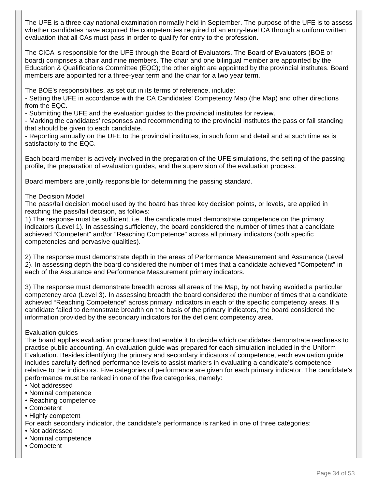The UFE is a three day national examination normally held in September. The purpose of the UFE is to assess whether candidates have acquired the competencies required of an entry-level CA through a uniform written evaluation that all CAs must pass in order to qualify for entry to the profession.

The CICA is responsible for the UFE through the Board of Evaluators. The Board of Evaluators (BOE or board) comprises a chair and nine members. The chair and one bilingual member are appointed by the Education & Qualifications Committee (EQC); the other eight are appointed by the provincial institutes. Board members are appointed for a three-year term and the chair for a two year term.

The BOE's responsibilities, as set out in its terms of reference, include:

- Setting the UFE in accordance with the CA Candidates' Competency Map (the Map) and other directions from the EQC.

- Submitting the UFE and the evaluation guides to the provincial institutes for review.

- Marking the candidates' responses and recommending to the provincial institutes the pass or fail standing that should be given to each candidate.

- Reporting annually on the UFE to the provincial institutes, in such form and detail and at such time as is satisfactory to the EQC.

Each board member is actively involved in the preparation of the UFE simulations, the setting of the passing profile, the preparation of evaluation guides, and the supervision of the evaluation process.

Board members are jointly responsible for determining the passing standard.

#### The Decision Model

The pass/fail decision model used by the board has three key decision points, or levels, are applied in reaching the pass/fail decision, as follows:

1) The response must be sufficient, i.e., the candidate must demonstrate competence on the primary indicators (Level 1). In assessing sufficiency, the board considered the number of times that a candidate achieved "Competent" and/or "Reaching Competence" across all primary indicators (both specific competencies and pervasive qualities).

2) The response must demonstrate depth in the areas of Performance Measurement and Assurance (Level 2). In assessing depth the board considered the number of times that a candidate achieved "Competent" in each of the Assurance and Performance Measurement primary indicators.

3) The response must demonstrate breadth across all areas of the Map, by not having avoided a particular competency area (Level 3). In assessing breadth the board considered the number of times that a candidate achieved "Reaching Competence" across primary indicators in each of the specific competency areas. If a candidate failed to demonstrate breadth on the basis of the primary indicators, the board considered the information provided by the secondary indicators for the deficient competency area.

#### Evaluation guides

The board applies evaluation procedures that enable it to decide which candidates demonstrate readiness to practise public accounting. An evaluation guide was prepared for each simulation included in the Uniform Evaluation. Besides identifying the primary and secondary indicators of competence, each evaluation guide includes carefully defined performance levels to assist markers in evaluating a candidate's competence relative to the indicators. Five categories of performance are given for each primary indicator. The candidate's performance must be ranked in one of the five categories, namely:

- Not addressed
- Nominal competence
- Reaching competence
- Competent
- Highly competent

For each secondary indicator, the candidate's performance is ranked in one of three categories:

- Not addressed
- Nominal competence
- Competent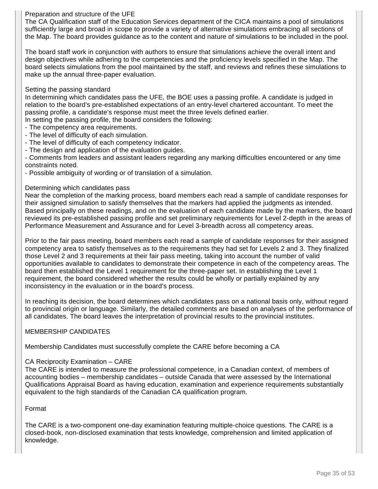## Preparation and structure of the UFE

The CA Qualification staff of the Education Services department of the CICA maintains a pool of simulations sufficiently large and broad in scope to provide a variety of alternative simulations embracing all sections of the Map. The board provides guidance as to the content and nature of simulations to be included in the pool.

The board staff work in conjunction with authors to ensure that simulations achieve the overall intent and design objectives while adhering to the competencies and the proficiency levels specified in the Map. The board selects simulations from the pool maintained by the staff, and reviews and refines these simulations to make up the annual three-paper evaluation.

#### Setting the passing standard

In determining which candidates pass the UFE, the BOE uses a passing profile. A candidate is judged in relation to the board's pre-established expectations of an entry-level chartered accountant. To meet the passing profile, a candidate's response must meet the three levels defined earlier.

- In setting the passing profile, the board considers the following:
- The competency area requirements.
- The level of difficulty of each simulation.
- The level of difficulty of each competency indicator.
- The design and application of the evaluation guides.

- Comments from leaders and assistant leaders regarding any marking difficulties encountered or any time constraints noted.

- Possible ambiguity of wording or of translation of a simulation.

#### Determining which candidates pass

Near the completion of the marking process, board members each read a sample of candidate responses for their assigned simulation to satisfy themselves that the markers had applied the judgments as intended. Based principally on these readings, and on the evaluation of each candidate made by the markers, the board reviewed its pre-established passing profile and set preliminary requirements for Level 2-depth in the areas of Performance Measurement and Assurance and for Level 3-breadth across all competency areas.

Prior to the fair pass meeting, board members each read a sample of candidate responses for their assigned competency area to satisfy themselves as to the requirements they had set for Levels 2 and 3. They finalized those Level 2 and 3 requirements at their fair pass meeting, taking into account the number of valid opportunities available to candidates to demonstrate their competence in each of the competency areas. The board then established the Level 1 requirement for the three-paper set. In establishing the Level 1 requirement, the board considered whether the results could be wholly or partially explained by any inconsistency in the evaluation or in the board's process.

In reaching its decision, the board determines which candidates pass on a national basis only, without regard to provincial origin or language. Similarly, the detailed comments are based on analyses of the performance of all candidates. The board leaves the interpretation of provincial results to the provincial institutes.

#### MEMBERSHIP CANDIDATES

Membership Candidates must successfully complete the CARE before becoming a CA

#### CA Reciprocity Examination – CARE

The CARE is intended to measure the professional competence, in a Canadian context, of members of accounting bodies – membership candidates – outside Canada that were assessed by the International Qualifications Appraisal Board as having education, examination and experience requirements substantially equivalent to the high standards of the Canadian CA qualification program.

#### Format

The CARE is a two-component one-day examination featuring multiple-choice questions. The CARE is a closed-book, non-disclosed examination that tests knowledge, comprehension and limited application of knowledge.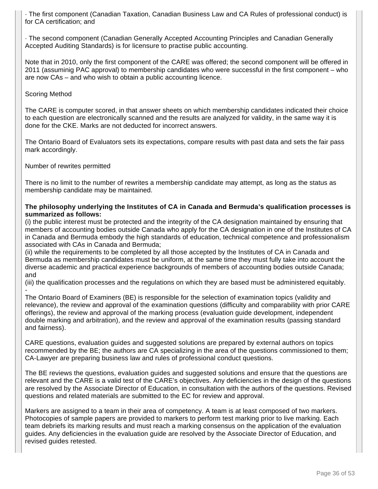· The first component (Canadian Taxation, Canadian Business Law and CA Rules of professional conduct) is for CA certification; and

· The second component (Canadian Generally Accepted Accounting Principles and Canadian Generally Accepted Auditing Standards) is for licensure to practise public accounting.

Note that in 2010, only the first component of the CARE was offered; the second component will be offered in 2011 (assuminig PAC approval) to membership candidates who were successful in the first component – who are now CAs – and who wish to obtain a public accounting licence.

#### Scoring Method

The CARE is computer scored, in that answer sheets on which membership candidates indicated their choice to each question are electronically scanned and the results are analyzed for validity, in the same way it is done for the CKE. Marks are not deducted for incorrect answers.

The Ontario Board of Evaluators sets its expectations, compare results with past data and sets the fair pass mark accordingly.

Number of rewrites permitted

There is no limit to the number of rewrites a membership candidate may attempt, as long as the status as membership candidate may be maintained.

#### **The philosophy underlying the Institutes of CA in Canada and Bermuda's qualification processes is summarized as follows:**

(i) the public interest must be protected and the integrity of the CA designation maintained by ensuring that members of accounting bodies outside Canada who apply for the CA designation in one of the Institutes of CA in Canada and Bermuda embody the high standards of education, technical competence and professionalism associated with CAs in Canada and Bermuda;

(ii) while the requirements to be completed by all those accepted by the Institutes of CA in Canada and Bermuda as membership candidates must be uniform, at the same time they must fully take into account the diverse academic and practical experience backgrounds of members of accounting bodies outside Canada; and

(iii) the qualification processes and the regulations on which they are based must be administered equitably. -

The Ontario Board of Examiners (BE) is responsible for the selection of examination topics (validity and relevance), the review and approval of the examination questions (difficulty and comparability with prior CARE offerings), the review and approval of the marking process (evaluation guide development, independent double marking and arbitration), and the review and approval of the examination results (passing standard and fairness).

CARE questions, evaluation guides and suggested solutions are prepared by external authors on topics recommended by the BE; the authors are CA specializing in the area of the questions commissioned to them; CA-Lawyer are preparing business law and rules of professional conduct questions.

The BE reviews the questions, evaluation guides and suggested solutions and ensure that the questions are relevant and the CARE is a valid test of the CARE's objectives. Any deficiencies in the design of the questions are resolved by the Associate Director of Education, in consultation with the authors of the questions. Revised questions and related materials are submitted to the EC for review and approval.

Markers are assigned to a team in their area of competency. A team is at least composed of two markers. Photocopies of sample papers are provided to markers to perform test marking prior to live marking. Each team debriefs its marking results and must reach a marking consensus on the application of the evaluation guides. Any deficiencies in the evaluation guide are resolved by the Associate Director of Education, and revised guides retested.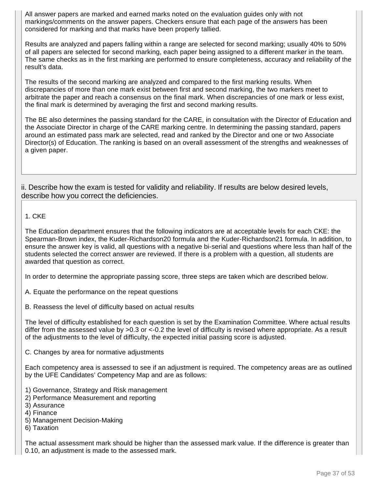All answer papers are marked and earned marks noted on the evaluation guides only with not markings/comments on the answer papers. Checkers ensure that each page of the answers has been considered for marking and that marks have been properly tallied.

Results are analyzed and papers falling within a range are selected for second marking; usually 40% to 50% of all papers are selected for second marking, each paper being assigned to a different marker in the team. The same checks as in the first marking are performed to ensure completeness, accuracy and reliability of the result's data.

The results of the second marking are analyzed and compared to the first marking results. When discrepancies of more than one mark exist between first and second marking, the two markers meet to arbitrate the paper and reach a consensus on the final mark. When discrepancies of one mark or less exist, the final mark is determined by averaging the first and second marking results.

The BE also determines the passing standard for the CARE, in consultation with the Director of Education and the Associate Director in charge of the CARE marking centre. In determining the passing standard, papers around an estimated pass mark are selected, read and ranked by the Director and one or two Associate Director(s) of Education. The ranking is based on an overall assessment of the strengths and weaknesses of a given paper.

ii. Describe how the exam is tested for validity and reliability. If results are below desired levels, describe how you correct the deficiencies.

## 1. CKE

The Education department ensures that the following indicators are at acceptable levels for each CKE: the Spearman-Brown index, the Kuder-Richardson20 formula and the Kuder-Richardson21 formula. In addition, to ensure the answer key is valid, all questions with a negative bi-serial and questions where less than half of the students selected the correct answer are reviewed. If there is a problem with a question, all students are awarded that question as correct.

In order to determine the appropriate passing score, three steps are taken which are described below.

A. Equate the performance on the repeat questions

B. Reassess the level of difficulty based on actual results

The level of difficulty established for each question is set by the Examination Committee. Where actual results differ from the assessed value by >0.3 or <-0.2 the level of difficulty is revised where appropriate. As a result of the adjustments to the level of difficulty, the expected initial passing score is adjusted.

C. Changes by area for normative adjustments

Each competency area is assessed to see if an adjustment is required. The competency areas are as outlined by the UFE Candidates' Competency Map and are as follows:

- 1) Governance, Strategy and Risk management
- 2) Performance Measurement and reporting
- 3) Assurance
- 4) Finance
- 5) Management Decision-Making
- 6) Taxation

The actual assessment mark should be higher than the assessed mark value. If the difference is greater than 0.10, an adjustment is made to the assessed mark.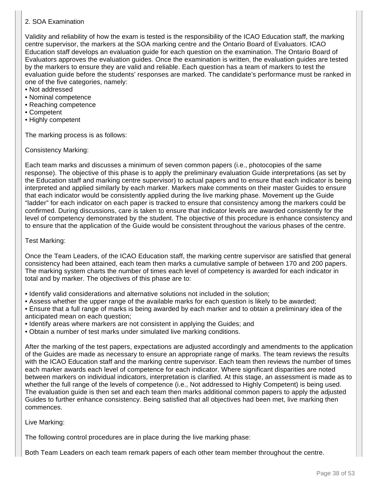# 2. SOA Examination

Validity and reliability of how the exam is tested is the responsibility of the ICAO Education staff, the marking centre supervisor, the markers at the SOA marking centre and the Ontario Board of Evaluators. ICAO Education staff develops an evaluation guide for each question on the examination. The Ontario Board of Evaluators approves the evaluation guides. Once the examination is written, the evaluation guides are tested by the markers to ensure they are valid and reliable. Each question has a team of markers to test the evaluation guide before the students' responses are marked. The candidate's performance must be ranked in one of the five categories, namely:

- Not addressed
- Nominal competence
- Reaching competence
- Competent
- Highly competent

The marking process is as follows:

Consistency Marking:

Each team marks and discusses a minimum of seven common papers (i.e., photocopies of the same response). The objective of this phase is to apply the preliminary evaluation Guide interpretations (as set by the Education staff and marking centre supervisor) to actual papers and to ensure that each indicator is being interpreted and applied similarly by each marker. Markers make comments on their master Guides to ensure that each indicator would be consistently applied during the live marking phase. Movement up the Guide "ladder" for each indicator on each paper is tracked to ensure that consistency among the markers could be confirmed. During discussions, care is taken to ensure that indicator levels are awarded consistently for the level of competency demonstrated by the student. The objective of this procedure is enhance consistency and to ensure that the application of the Guide would be consistent throughout the various phases of the centre.

Test Marking:

Once the Team Leaders, of the ICAO Education staff, the marking centre supervisor are satisfied that general consistency had been attained, each team then marks a cumulative sample of between 170 and 200 papers. The marking system charts the number of times each level of competency is awarded for each indicator in total and by marker. The objectives of this phase are to:

- Identify valid considerations and alternative solutions not included in the solution;
- Assess whether the upper range of the available marks for each question is likely to be awarded;

• Ensure that a full range of marks is being awarded by each marker and to obtain a preliminary idea of the anticipated mean on each question;

- Identify areas where markers are not consistent in applying the Guides; and
- Obtain a number of test marks under simulated live marking conditions.

After the marking of the test papers, expectations are adjusted accordingly and amendments to the application of the Guides are made as necessary to ensure an appropriate range of marks. The team reviews the results with the ICAO Education staff and the marking centre supervisor. Each team then reviews the number of times each marker awards each level of competence for each indicator. Where significant disparities are noted between markers on individual indicators, interpretation is clarified. At this stage, an assessment is made as to whether the full range of the levels of competence (i.e., Not addressed to Highly Competent) is being used. The evaluation guide is then set and each team then marks additional common papers to apply the adjusted Guides to further enhance consistency. Being satisfied that all objectives had been met, live marking then commences.

Live Marking:

The following control procedures are in place during the live marking phase:

Both Team Leaders on each team remark papers of each other team member throughout the centre.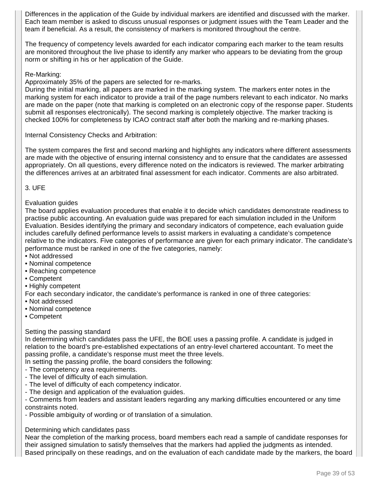Differences in the application of the Guide by individual markers are identified and discussed with the marker. Each team member is asked to discuss unusual responses or judgment issues with the Team Leader and the team if beneficial. As a result, the consistency of markers is monitored throughout the centre.

The frequency of competency levels awarded for each indicator comparing each marker to the team results are monitored throughout the live phase to identify any marker who appears to be deviating from the group norm or shifting in his or her application of the Guide.

#### Re-Marking:

Approximately 35% of the papers are selected for re-marks.

During the initial marking, all papers are marked in the marking system. The markers enter notes in the marking system for each indicator to provide a trail of the page numbers relevant to each indicator. No marks are made on the paper (note that marking is completed on an electronic copy of the response paper. Students submit all responses electronically). The second marking is completely objective. The marker tracking is checked 100% for completeness by ICAO contract staff after both the marking and re-marking phases.

Internal Consistency Checks and Arbitration:

The system compares the first and second marking and highlights any indicators where different assessments are made with the objective of ensuring internal consistency and to ensure that the candidates are assessed appropriately. On all questions, every difference noted on the indicators is reviewed. The marker arbitrating the differences arrives at an arbitrated final assessment for each indicator. Comments are also arbitrated.

#### 3. UFE

#### Evaluation guides

The board applies evaluation procedures that enable it to decide which candidates demonstrate readiness to practise public accounting. An evaluation guide was prepared for each simulation included in the Uniform Evaluation. Besides identifying the primary and secondary indicators of competence, each evaluation guide includes carefully defined performance levels to assist markers in evaluating a candidate's competence relative to the indicators. Five categories of performance are given for each primary indicator. The candidate's performance must be ranked in one of the five categories, namely:

- Not addressed
- Nominal competence
- Reaching competence
- Competent
- Highly competent

For each secondary indicator, the candidate's performance is ranked in one of three categories:

- Not addressed
- Nominal competence
- Competent

## Setting the passing standard

In determining which candidates pass the UFE, the BOE uses a passing profile. A candidate is judged in relation to the board's pre-established expectations of an entry-level chartered accountant. To meet the passing profile, a candidate's response must meet the three levels.

In setting the passing profile, the board considers the following:

- The competency area requirements.
- The level of difficulty of each simulation.
- The level of difficulty of each competency indicator.
- The design and application of the evaluation guides.

- Comments from leaders and assistant leaders regarding any marking difficulties encountered or any time constraints noted.

- Possible ambiguity of wording or of translation of a simulation.

## Determining which candidates pass

Near the completion of the marking process, board members each read a sample of candidate responses for their assigned simulation to satisfy themselves that the markers had applied the judgments as intended. Based principally on these readings, and on the evaluation of each candidate made by the markers, the board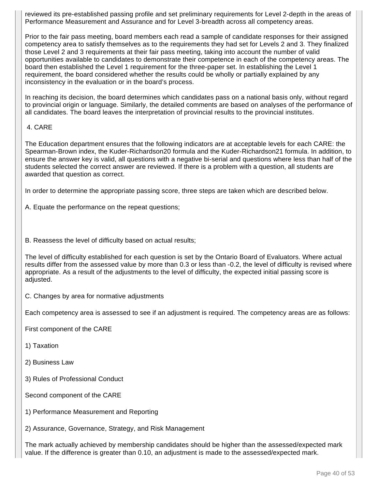reviewed its pre-established passing profile and set preliminary requirements for Level 2-depth in the areas of Performance Measurement and Assurance and for Level 3-breadth across all competency areas.

Prior to the fair pass meeting, board members each read a sample of candidate responses for their assigned competency area to satisfy themselves as to the requirements they had set for Levels 2 and 3. They finalized those Level 2 and 3 requirements at their fair pass meeting, taking into account the number of valid opportunities available to candidates to demonstrate their competence in each of the competency areas. The board then established the Level 1 requirement for the three-paper set. In establishing the Level 1 requirement, the board considered whether the results could be wholly or partially explained by any inconsistency in the evaluation or in the board's process.

In reaching its decision, the board determines which candidates pass on a national basis only, without regard to provincial origin or language. Similarly, the detailed comments are based on analyses of the performance of all candidates. The board leaves the interpretation of provincial results to the provincial institutes.

## 4. CARE

The Education department ensures that the following indicators are at acceptable levels for each CARE: the Spearman-Brown index, the Kuder-Richardson20 formula and the Kuder-Richardson21 formula. In addition, to ensure the answer key is valid, all questions with a negative bi-serial and questions where less than half of the students selected the correct answer are reviewed. If there is a problem with a question, all students are awarded that question as correct.

In order to determine the appropriate passing score, three steps are taken which are described below.

A. Equate the performance on the repeat questions;

B. Reassess the level of difficulty based on actual results;

The level of difficulty established for each question is set by the Ontario Board of Evaluators. Where actual results differ from the assessed value by more than 0.3 or less than -0.2, the level of difficulty is revised where appropriate. As a result of the adjustments to the level of difficulty, the expected initial passing score is adjusted.

C. Changes by area for normative adjustments

Each competency area is assessed to see if an adjustment is required. The competency areas are as follows:

First component of the CARE

1) Taxation

2) Business Law

3) Rules of Professional Conduct

Second component of the CARE

1) Performance Measurement and Reporting

2) Assurance, Governance, Strategy, and Risk Management

The mark actually achieved by membership candidates should be higher than the assessed/expected mark value. If the difference is greater than 0.10, an adjustment is made to the assessed/expected mark.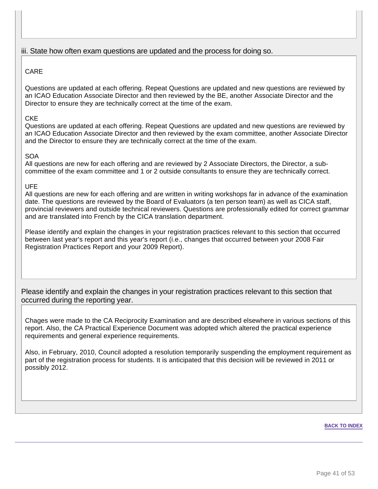# iii. State how often exam questions are updated and the process for doing so.

# CARE

Questions are updated at each offering. Repeat Questions are updated and new questions are reviewed by an ICAO Education Associate Director and then reviewed by the BE, another Associate Director and the Director to ensure they are technically correct at the time of the exam.

## CKE

Questions are updated at each offering. Repeat Questions are updated and new questions are reviewed by an ICAO Education Associate Director and then reviewed by the exam committee, another Associate Director and the Director to ensure they are technically correct at the time of the exam.

## SOA

All questions are new for each offering and are reviewed by 2 Associate Directors, the Director, a subcommittee of the exam committee and 1 or 2 outside consultants to ensure they are technically correct.

## UFE

All questions are new for each offering and are written in writing workshops far in advance of the examination date. The questions are reviewed by the Board of Evaluators (a ten person team) as well as CICA staff, provincial reviewers and outside technical reviewers. Questions are professionally edited for correct grammar and are translated into French by the CICA translation department.

Please identify and explain the changes in your registration practices relevant to this section that occurred between last year's report and this year's report (i.e., changes that occurred between your 2008 Fair Registration Practices Report and your 2009 Report).

Please identify and explain the changes in your registration practices relevant to this section that occurred during the reporting year.

Chages were made to the CA Reciprocity Examination and are described elsewhere in various sections of this report. Also, the CA Practical Experience Document was adopted which altered the practical experience requirements and general experience requirements.

Also, in February, 2010, Council adopted a resolution temporarily suspending the employment requirement as part of the registration process for students. It is anticipated that this decision will be reviewed in 2011 or possibly 2012.

#### **BACK TO INDEX**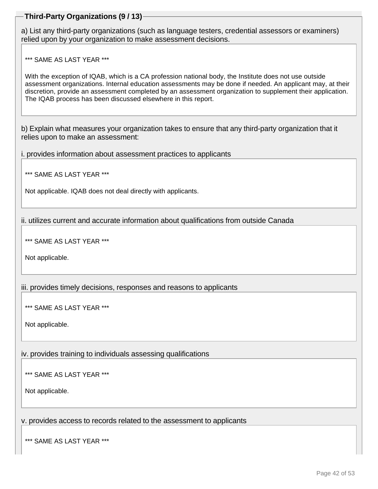# **Third-Party Organizations (9 / 13)**

a) List any third-party organizations (such as language testers, credential assessors or examiners) relied upon by your organization to make assessment decisions.

\*\*\* SAME AS LAST YEAR \*\*\*

With the exception of IQAB, which is a CA profession national body, the Institute does not use outside assessment organizations. Internal education assessments may be done if needed. An applicant may, at their discretion, provide an assessment completed by an assessment organization to supplement their application. The IQAB process has been discussed elsewhere in this report.

b) Explain what measures your organization takes to ensure that any third-party organization that it relies upon to make an assessment:

i. provides information about assessment practices to applicants

\*\*\* SAME AS LAST YEAR \*\*\*

Not applicable. IQAB does not deal directly with applicants.

ii. utilizes current and accurate information about qualifications from outside Canada

\*\*\* SAME AS LAST YEAR \*\*\*

Not applicable.

iii. provides timely decisions, responses and reasons to applicants

\*\*\* SAME AS LAST YEAR \*\*\*

Not applicable.

iv. provides training to individuals assessing qualifications

\*\*\* SAME AS LAST YEAR \*\*\*

Not applicable.

v. provides access to records related to the assessment to applicants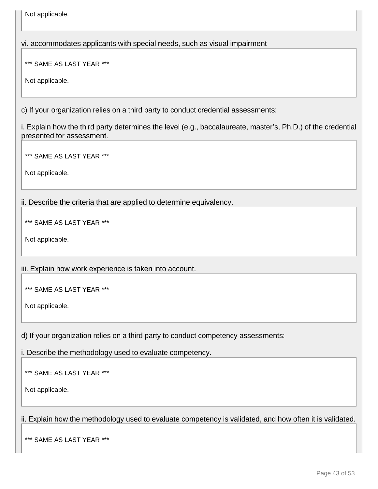Not applicable.

vi. accommodates applicants with special needs, such as visual impairment

\*\*\* SAME AS LAST YEAR \*\*\*

Not applicable.

c) If your organization relies on a third party to conduct credential assessments:

i. Explain how the third party determines the level (e.g., baccalaureate, master's, Ph.D.) of the credential presented for assessment.

\*\*\* SAME AS LAST YEAR \*\*\*

Not applicable.

ii. Describe the criteria that are applied to determine equivalency.

\*\*\* SAME AS LAST YEAR \*\*\*

Not applicable.

iii. Explain how work experience is taken into account.

\*\*\* SAME AS LAST YEAR \*\*\*

Not applicable.

d) If your organization relies on a third party to conduct competency assessments:

i. Describe the methodology used to evaluate competency.

\*\*\* SAME AS LAST YEAR \*\*\*

Not applicable.

ii. Explain how the methodology used to evaluate competency is validated, and how often it is validated.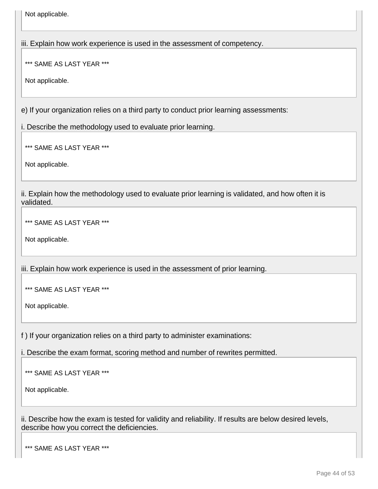Not applicable.

iii. Explain how work experience is used in the assessment of competency.

\*\*\* SAME AS LAST YEAR \*\*\*

Not applicable.

e) If your organization relies on a third party to conduct prior learning assessments:

i. Describe the methodology used to evaluate prior learning.

\*\*\* SAME AS LAST YEAR \*\*\*

Not applicable.

ii. Explain how the methodology used to evaluate prior learning is validated, and how often it is validated.

\*\*\* SAME AS LAST YEAR \*\*\*

Not applicable.

iii. Explain how work experience is used in the assessment of prior learning.

\*\*\* SAME AS LAST YEAR \*\*\*

Not applicable.

f ) If your organization relies on a third party to administer examinations:

i. Describe the exam format, scoring method and number of rewrites permitted.

\*\*\* SAME AS LAST YEAR \*\*\*

Not applicable.

ii. Describe how the exam is tested for validity and reliability. If results are below desired levels, describe how you correct the deficiencies.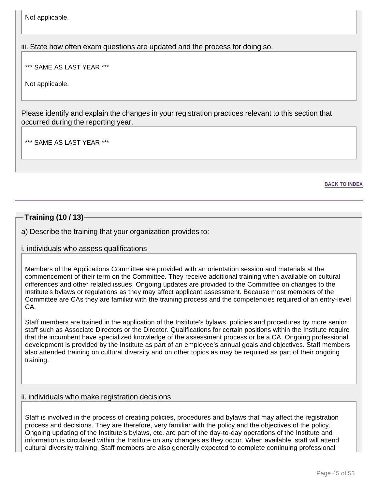Not applicable.

iii. State how often exam questions are updated and the process for doing so.

\*\*\* SAME AS LAST YEAR \*\*\*

Not applicable.

Please identify and explain the changes in your registration practices relevant to this section that occurred during the reporting year.

\*\*\* SAME AS LAST YEAR \*\*\*

**BACK TO INDEX**

# **Training (10 / 13)**

a) Describe the training that your organization provides to:

## i. individuals who assess qualifications

Members of the Applications Committee are provided with an orientation session and materials at the commencement of their term on the Committee. They receive additional training when available on cultural differences and other related issues. Ongoing updates are provided to the Committee on changes to the Institute's bylaws or regulations as they may affect applicant assessment. Because most members of the Committee are CAs they are familiar with the training process and the competencies required of an entry-level CA.

Staff members are trained in the application of the Institute's bylaws, policies and procedures by more senior staff such as Associate Directors or the Director. Qualifications for certain positions within the Institute require that the incumbent have specialized knowledge of the assessment process or be a CA. Ongoing professional development is provided by the Institute as part of an employee's annual goals and objectives. Staff members also attended training on cultural diversity and on other topics as may be required as part of their ongoing training.

## ii. individuals who make registration decisions

Staff is involved in the process of creating policies, procedures and bylaws that may affect the registration process and decisions. They are therefore, very familiar with the policy and the objectives of the policy. Ongoing updating of the Institute's bylaws, etc. are part of the day-to-day operations of the Institute and information is circulated within the Institute on any changes as they occur. When available, staff will attend cultural diversity training. Staff members are also generally expected to complete continuing professional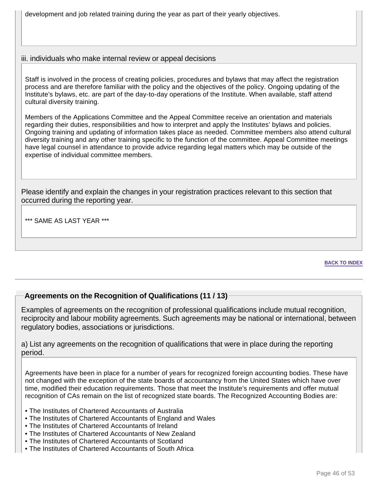development and job related training during the year as part of their yearly objectives.

# iii. individuals who make internal review or appeal decisions

Staff is involved in the process of creating policies, procedures and bylaws that may affect the registration process and are therefore familiar with the policy and the objectives of the policy. Ongoing updating of the Institute's bylaws, etc. are part of the day-to-day operations of the Institute. When available, staff attend cultural diversity training.

Members of the Applications Committee and the Appeal Committee receive an orientation and materials regarding their duties, responsibilities and how to interpret and apply the Institutes' bylaws and policies. Ongoing training and updating of information takes place as needed. Committee members also attend cultural diversity training and any other training specific to the function of the committee. Appeal Committee meetings have legal counsel in attendance to provide advice regarding legal matters which may be outside of the expertise of individual committee members.

Please identify and explain the changes in your registration practices relevant to this section that occurred during the reporting year.

\*\*\* SAME AS LAST YEAR \*\*\*

#### **BACK TO INDEX**

# **Agreements on the Recognition of Qualifications (11 / 13)**

Examples of agreements on the recognition of professional qualifications include mutual recognition, reciprocity and labour mobility agreements. Such agreements may be national or international, between regulatory bodies, associations or jurisdictions.

a) List any agreements on the recognition of qualifications that were in place during the reporting period.

Agreements have been in place for a number of years for recognized foreign accounting bodies. These have not changed with the exception of the state boards of accountancy from the United States which have over time, modified their education requirements. Those that meet the Institute's requirements and offer mutual recognition of CAs remain on the list of recognized state boards. The Recognized Accounting Bodies are:

- The Institutes of Chartered Accountants of Australia
- The Institutes of Chartered Accountants of England and Wales
- The Institutes of Chartered Accountants of Ireland
- The Institutes of Chartered Accountants of New Zealand
- The Institutes of Chartered Accountants of Scotland
- The Institutes of Chartered Accountants of South Africa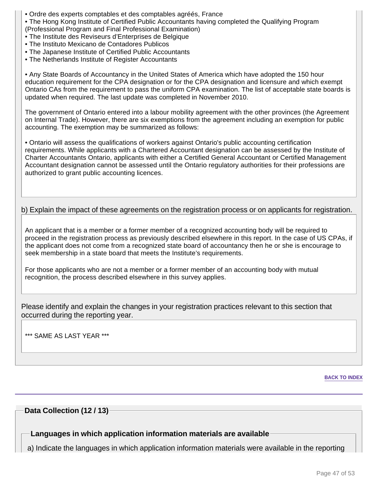- Ordre des experts comptables et des comptables agréés, France
- The Hong Kong Institute of Certified Public Accountants having completed the Qualifying Program
- (Professional Program and Final Professional Examination)
- The Institute des Reviseurs d'Enterprises de Belgique
- The Instituto Mexicano de Contadores Publicos
- The Japanese Institute of Certified Public Accountants
- The Netherlands Institute of Register Accountants

• Any State Boards of Accountancy in the United States of America which have adopted the 150 hour education requirement for the CPA designation or for the CPA designation and licensure and which exempt Ontario CAs from the requirement to pass the uniform CPA examination. The list of acceptable state boards is updated when required. The last update was completed in November 2010.

The government of Ontario entered into a labour mobility agreement with the other provinces (the Agreement on Internal Trade). However, there are six exemptions from the agreement including an exemption for public accounting. The exemption may be summarized as follows:

• Ontario will assess the qualifications of workers against Ontario's public accounting certification requirements. While applicants with a Chartered Accountant designation can be assessed by the Institute of Charter Accountants Ontario, applicants with either a Certified General Accountant or Certified Management Accountant designation cannot be assessed until the Ontario regulatory authorities for their professions are authorized to grant public accounting licences.

b) Explain the impact of these agreements on the registration process or on applicants for registration.

An applicant that is a member or a former member of a recognized accounting body will be required to proceed in the registration process as previously described elsewhere in this report. In the case of US CPAs, if the applicant does not come from a recognized state board of accountancy then he or she is encourage to seek membership in a state board that meets the Institute's requirements.

For those applicants who are not a member or a former member of an accounting body with mutual recognition, the process described elsewhere in this survey applies.

Please identify and explain the changes in your registration practices relevant to this section that occurred during the reporting year.

\*\*\* SAME AS LAST YEAR \*\*\*

**BACK TO INDEX**

## **Data Collection (12 / 13)**

**Languages in which application information materials are available**

a) Indicate the languages in which application information materials were available in the reporting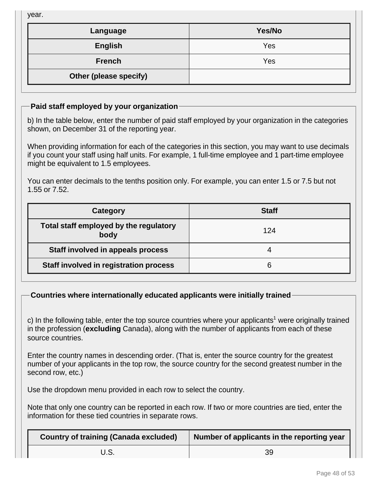year.

| Language               | Yes/No |
|------------------------|--------|
| <b>English</b>         | Yes    |
| <b>French</b>          | Yes    |
| Other (please specify) |        |

# **Paid staff employed by your organization**

b) In the table below, enter the number of paid staff employed by your organization in the categories shown, on December 31 of the reporting year.

When providing information for each of the categories in this section, you may want to use decimals if you count your staff using half units. For example, 1 full-time employee and 1 part-time employee might be equivalent to 1.5 employees.

You can enter decimals to the tenths position only. For example, you can enter 1.5 or 7.5 but not 1.55 or 7.52.

| Category                                       | <b>Staff</b> |
|------------------------------------------------|--------------|
| Total staff employed by the regulatory<br>body | 124          |
| Staff involved in appeals process              |              |
| Staff involved in registration process         | 6            |

# **Countries where internationally educated applicants were initially trained**

c) In the following table, enter the top source countries where your applicants<sup>1</sup> were originally trained in the profession (**excluding** Canada), along with the number of applicants from each of these source countries.

Enter the country names in descending order. (That is, enter the source country for the greatest number of your applicants in the top row, the source country for the second greatest number in the second row, etc.)

Use the dropdown menu provided in each row to select the country.

Note that only one country can be reported in each row. If two or more countries are tied, enter the information for these tied countries in separate rows.

| <b>Country of training (Canada excluded)</b> | Number of applicants in the reporting year |  |  |
|----------------------------------------------|--------------------------------------------|--|--|
|                                              | 39                                         |  |  |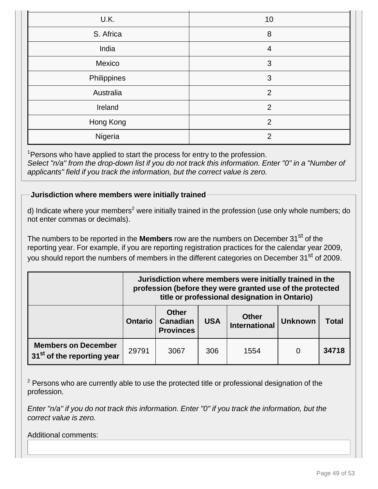| U.K.        | 10             |
|-------------|----------------|
| S. Africa   | 8              |
| India       | $\overline{4}$ |
| Mexico      | 3              |
| Philippines | 3              |
| Australia   | 2              |
| Ireland     | 2              |
| Hong Kong   | 2              |
| Nigeria     | $\mathcal{P}$  |

 $1$ Persons who have applied to start the process for entry to the profession. Select "n/a" from the drop-down list if you do not track this information. Enter "0" in a "Number of applicants" field if you track the information, but the correct value is zero.

# **Jurisdiction where members were initially trained**

d) Indicate where your members<sup>2</sup> were initially trained in the profession (use only whole numbers; do not enter commas or decimals).

The numbers to be reported in the **Members** row are the numbers on December 31<sup>st</sup> of the reporting year. For example, if you are reporting registration practices for the calendar year 2009, you should report the numbers of members in the different categories on December 31<sup>st</sup> of 2009.

|                                                                      | Jurisdiction where members were initially trained in the<br>profession (before they were granted use of the protected<br>title or professional designation in Ontario) |                                                     |            |                               |                |              |
|----------------------------------------------------------------------|------------------------------------------------------------------------------------------------------------------------------------------------------------------------|-----------------------------------------------------|------------|-------------------------------|----------------|--------------|
|                                                                      | <b>Ontario</b>                                                                                                                                                         | <b>Other</b><br><b>Canadian</b><br><b>Provinces</b> | <b>USA</b> | <b>Other</b><br>International | <b>Unknown</b> | <b>Total</b> |
| <b>Members on December</b><br>31 <sup>st</sup> of the reporting year | 29791                                                                                                                                                                  | 3067                                                | 306        | 1554                          | 0              | 34718        |

 $2$  Persons who are currently able to use the protected title or professional designation of the profession.

Enter "n/a" if you do not track this information. Enter "0" if you track the information, but the correct value is zero.

Additional comments: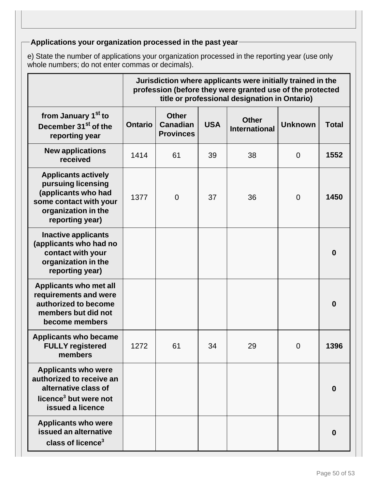# **Applications your organization processed in the past year**

e) State the number of applications your organization processed in the reporting year (use only whole numbers; do not enter commas or decimals).

|                                                                                                                                             | Jurisdiction where applicants were initially trained in the<br>profession (before they were granted use of the protected<br>title or professional designation in Ontario) |                                                     |            |                                      |                |                  |
|---------------------------------------------------------------------------------------------------------------------------------------------|---------------------------------------------------------------------------------------------------------------------------------------------------------------------------|-----------------------------------------------------|------------|--------------------------------------|----------------|------------------|
| from January 1 <sup>st</sup> to<br>December 31 <sup>st</sup> of the<br>reporting year                                                       | <b>Ontario</b>                                                                                                                                                            | <b>Other</b><br><b>Canadian</b><br><b>Provinces</b> | <b>USA</b> | <b>Other</b><br><b>International</b> | <b>Unknown</b> | <b>Total</b>     |
| <b>New applications</b><br>received                                                                                                         | 1414                                                                                                                                                                      | 61                                                  | 39         | 38                                   | $\overline{0}$ | 1552             |
| <b>Applicants actively</b><br>pursuing licensing<br>(applicants who had<br>some contact with your<br>organization in the<br>reporting year) | 1377                                                                                                                                                                      | $\overline{0}$                                      | 37         | 36                                   | $\overline{0}$ | 1450             |
| <b>Inactive applicants</b><br>(applicants who had no<br>contact with your<br>organization in the<br>reporting year)                         |                                                                                                                                                                           |                                                     |            |                                      |                | $\boldsymbol{0}$ |
| Applicants who met all<br>requirements and were<br>authorized to become<br>members but did not<br>become members                            |                                                                                                                                                                           |                                                     |            |                                      |                | $\boldsymbol{0}$ |
| <b>Applicants who became</b><br><b>FULLY registered</b><br>members                                                                          | 1272                                                                                                                                                                      | 61                                                  | 34         | 29                                   | $\overline{0}$ | 1396             |
| <b>Applicants who were</b><br>authorized to receive an<br>alternative class of<br>licence <sup>3</sup> but were not<br>issued a licence     |                                                                                                                                                                           |                                                     |            |                                      |                | 0                |
| <b>Applicants who were</b><br>issued an alternative<br>class of licence <sup>3</sup>                                                        |                                                                                                                                                                           |                                                     |            |                                      |                | 0                |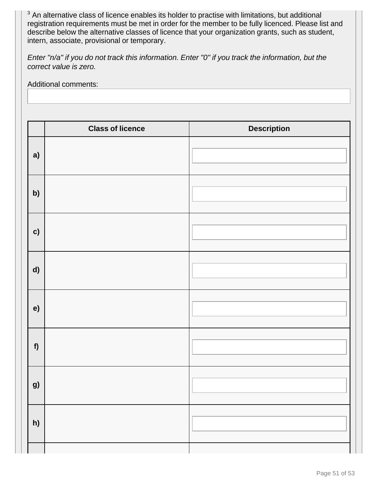$3$  An alternative class of licence enables its holder to practise with limitations, but additional registration requirements must be met in order for the member to be fully licenced. Please list and describe below the alternative classes of licence that your organization grants, such as student, intern, associate, provisional or temporary.

Enter "n/a" if you do not track this information. Enter "0" if you track the information, but the correct value is zero.

Additional comments:

|    | <b>Class of licence</b> | <b>Description</b> |
|----|-------------------------|--------------------|
| a) |                         |                    |
| b) |                         |                    |
| c) |                         |                    |
| d) |                         |                    |
| e) |                         |                    |
| f  |                         |                    |
| g) |                         |                    |
| h) |                         |                    |
|    |                         |                    |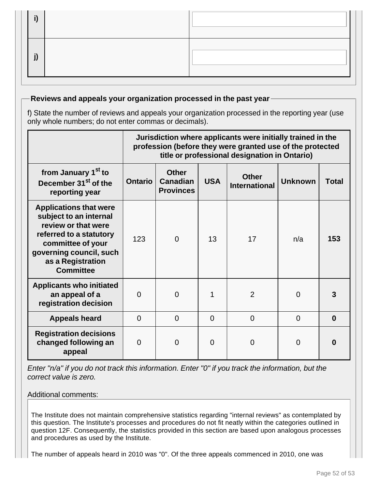# **Reviews and appeals your organization processed in the past year**

f) State the number of reviews and appeals your organization processed in the reporting year (use only whole numbers; do not enter commas or decimals).

|                                                                                                                                                                                                    | Jurisdiction where applicants were initially trained in the<br>profession (before they were granted use of the protected<br>title or professional designation in Ontario) |                                                     |            |                                      |                |              |
|----------------------------------------------------------------------------------------------------------------------------------------------------------------------------------------------------|---------------------------------------------------------------------------------------------------------------------------------------------------------------------------|-----------------------------------------------------|------------|--------------------------------------|----------------|--------------|
| from January 1 <sup>st</sup> to<br>December 31 <sup>st</sup> of the<br>reporting year                                                                                                              | <b>Ontario</b>                                                                                                                                                            | <b>Other</b><br><b>Canadian</b><br><b>Provinces</b> | <b>USA</b> | <b>Other</b><br><b>International</b> | <b>Unknown</b> | <b>Total</b> |
| <b>Applications that were</b><br>subject to an internal<br>review or that were<br>referred to a statutory<br>committee of your<br>governing council, such<br>as a Registration<br><b>Committee</b> | 123                                                                                                                                                                       | $\overline{0}$                                      | 13         | 17                                   | n/a            | 153          |
| <b>Applicants who initiated</b><br>an appeal of a<br>registration decision                                                                                                                         | $\Omega$                                                                                                                                                                  | $\overline{0}$                                      | 1          | $\overline{2}$                       | $\Omega$       |              |
| <b>Appeals heard</b>                                                                                                                                                                               | $\Omega$                                                                                                                                                                  | $\Omega$                                            | $\Omega$   | $\Omega$                             | 0              | 0            |
| <b>Registration decisions</b><br>changed following an<br>appeal                                                                                                                                    | $\Omega$                                                                                                                                                                  | $\Omega$                                            | $\Omega$   | 0                                    | $\Omega$       | n            |

Enter "n/a" if you do not track this information. Enter "0" if you track the information, but the correct value is zero.

## Additional comments:

The Institute does not maintain comprehensive statistics regarding "internal reviews" as contemplated by this question. The Institute's processes and procedures do not fit neatly within the categories outlined in question 12F. Consequently, the statistics provided in this section are based upon analogous processes and procedures as used by the Institute.

The number of appeals heard in 2010 was "0". Of the three appeals commenced in 2010, one was